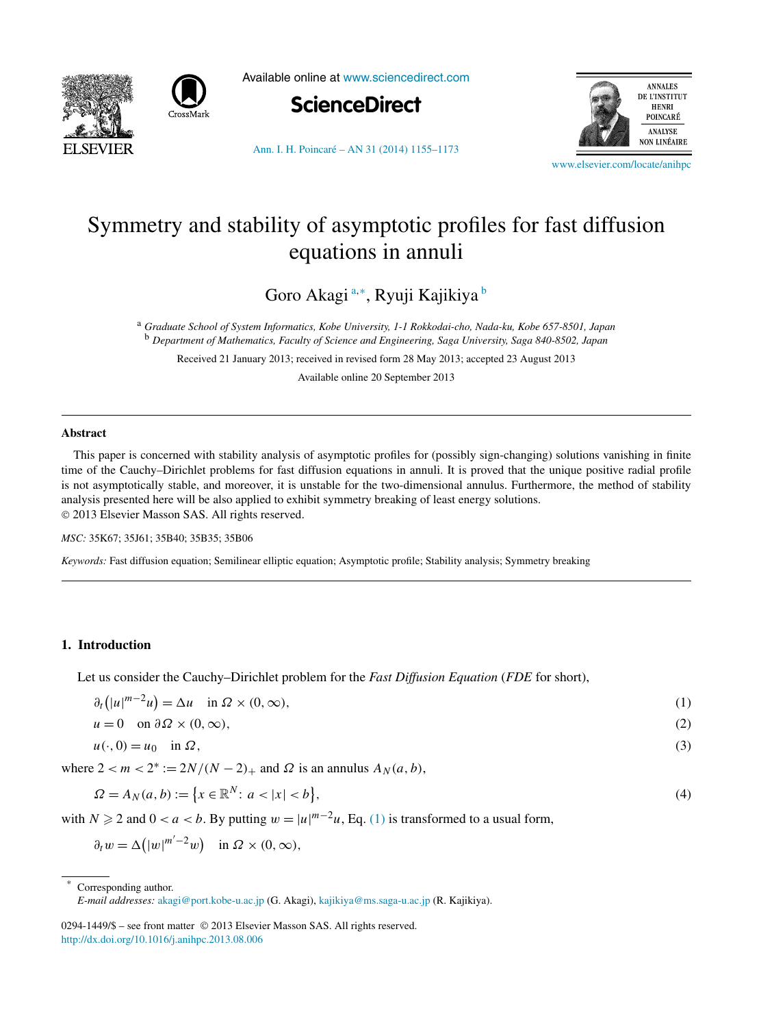<span id="page-0-0"></span>



Available online at [www.sciencedirect.com](http://www.sciencedirect.com)



**ANNALES** DE L'INSTITUT **HENRI** POINCARÉ ANALYSE **NON LINÉAIRE** 

[Ann. I. H. Poincaré – AN 31 \(2014\) 1155–1173](http://dx.doi.org/10.1016/j.anihpc.2013.08.006)

[www.elsevier.com/locate/anihpc](http://www.elsevier.com/locate/anihpc)

# Symmetry and stability of asymptotic profiles for fast diffusion equations in annuli

Goro Akagi <sup>a</sup>*,*<sup>∗</sup> , Ryuji Kajikiya <sup>b</sup>

<sup>a</sup> *Graduate School of System Informatics, Kobe University, 1-1 Rokkodai-cho, Nada-ku, Kobe 657-8501, Japan* <sup>b</sup> *Department of Mathematics, Faculty of Science and Engineering, Saga University, Saga 840-8502, Japan*

Received 21 January 2013; received in revised form 28 May 2013; accepted 23 August 2013

Available online 20 September 2013

#### **Abstract**

This paper is concerned with stability analysis of asymptotic profiles for (possibly sign-changing) solutions vanishing in finite time of the Cauchy–Dirichlet problems for fast diffusion equations in annuli. It is proved that the unique positive radial profile is not asymptotically stable, and moreover, it is unstable for the two-dimensional annulus. Furthermore, the method of stability analysis presented here will be also applied to exhibit symmetry breaking of least energy solutions. © 2013 Elsevier Masson SAS. All rights reserved.

*MSC:* 35K67; 35J61; 35B40; 35B35; 35B06

*Keywords:* Fast diffusion equation; Semilinear elliptic equation; Asymptotic profile; Stability analysis; Symmetry breaking

## **1. Introduction**

Let us consider the Cauchy–Dirichlet problem for the *Fast Diffusion Equation* (*FDE* for short),

| $\partial_t ( u ^{m-2}u) = \Delta u \quad \text{in } \Omega \times (0, \infty),$ |  | $\left( 1\right)$ |
|----------------------------------------------------------------------------------|--|-------------------|
|----------------------------------------------------------------------------------|--|-------------------|

$$
u = 0 \quad \text{on } \partial \Omega \times (0, \infty), \tag{2}
$$

$$
u(\cdot,0) = u_0 \quad \text{in } \Omega,\tag{3}
$$

where  $2 < m < 2^* := 2N/(N-2)$ <sub>+</sub> and  $\Omega$  is an annulus  $A_N(a, b)$ ,

$$
\Omega = A_N(a, b) := \{ x \in \mathbb{R}^N : a < |x| < b \},\tag{4}
$$

with  $N \ge 2$  and  $0 < a < b$ . By putting  $w = |u|^{m-2}u$ , Eq. (1) is transformed to a usual form,

 $\partial_t w = \Delta \left(|w|^{m'-2}w\right)$  in  $\Omega \times (0,\infty)$ ,

0294-1449/\$ – see front matter © 2013 Elsevier Masson SAS. All rights reserved. <http://dx.doi.org/10.1016/j.anihpc.2013.08.006>

Corresponding author.

*E-mail addresses:* [akagi@port.kobe-u.ac.jp](mailto:akagi@port.kobe-u.ac.jp) (G. Akagi), [kajikiya@ms.saga-u.ac.jp](mailto:kajikiya@ms.saga-u.ac.jp) (R. Kajikiya).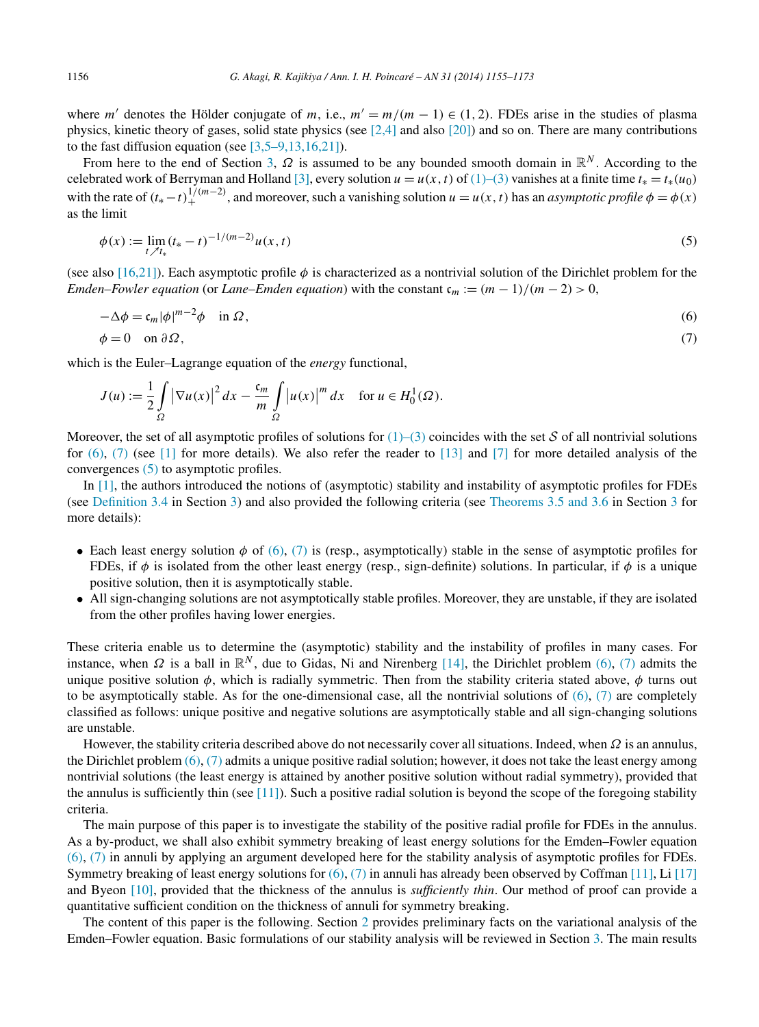<span id="page-1-0"></span>where *m'* denotes the Hölder conjugate of *m*, i.e.,  $m' = m/(m - 1) \in (1, 2)$ . FDEs arise in the studies of plasma physics, kinetic theory of gases, solid state physics (see [\[2,4\]](#page-18-0) and also [\[20\]\)](#page-18-0) and so on. There are many contributions to the fast diffusion equation (see  $[3,5-9,13,16,21]$ ).

From here to the end of Section [3,](#page-3-0) *Ω* is assumed to be any bounded smooth domain in R*<sup>N</sup>* . According to the celebrated work of Berryman and Holland [\[3\],](#page-18-0) every solution  $u = u(x, t)$  of [\(1\)–\(3\)](#page-0-0) vanishes at a finite time  $t_* = t_*(u_0)$ with the rate of  $(t_* - t)_+^{1/(m-2)}$ , and moreover, such a vanishing solution  $u = u(x, t)$  has an *asymptotic profile*  $\phi = \phi(x)$ as the limit

$$
\phi(x) := \lim_{t \nearrow t_*} (t_* - t)^{-1/(m-2)} u(x, t) \tag{5}
$$

(see also [\[16,21\]\)](#page-18-0). Each asymptotic profile  $\phi$  is characterized as a nontrivial solution of the Dirichlet problem for the *Emden–Fowler equation* (or *Lane–Emden equation*) with the constant  $c_m := (m-1)/(m-2) > 0$ ,

$$
-\Delta \phi = c_m |\phi|^{m-2} \phi \quad \text{in } \Omega,
$$
  
\n
$$
\phi = 0 \quad \text{on } \partial \Omega,
$$
\n(6)

which is the Euler–Lagrange equation of the *energy* functional,

$$
J(u) := \frac{1}{2} \int_{\Omega} \left| \nabla u(x) \right|^2 dx - \frac{c_m}{m} \int_{\Omega} \left| u(x) \right|^m dx \quad \text{for } u \in H_0^1(\Omega).
$$

Moreover, the set of all asymptotic profiles of solutions for  $(1)$ – $(3)$  coincides with the set S of all nontrivial solutions for  $(6)$ ,  $(7)$  (see [\[1\]](#page-18-0) for more details). We also refer the reader to [\[13\]](#page-18-0) and [\[7\]](#page-18-0) for more detailed analysis of the convergences (5) to asymptotic profiles.

In [\[1\],](#page-18-0) the authors introduced the notions of (asymptotic) stability and instability of asymptotic profiles for FDEs (see [Definition 3.4](#page-4-0) in Section [3\)](#page-3-0) and also provided the following criteria (see [Theorems 3.5 and 3.6](#page-4-0) in Section [3](#page-3-0) for more details):

- Each least energy solution  $\phi$  of (6), (7) is (resp., asymptotically) stable in the sense of asymptotic profiles for FDEs, if  $\phi$  is isolated from the other least energy (resp., sign-definite) solutions. In particular, if  $\phi$  is a unique positive solution, then it is asymptotically stable.
- All sign-changing solutions are not asymptotically stable profiles. Moreover, they are unstable, if they are isolated from the other profiles having lower energies.

These criteria enable us to determine the (asymptotic) stability and the instability of profiles in many cases. For instance, when  $\Omega$  is a ball in  $\mathbb{R}^N$ , due to Gidas, Ni and Nirenberg [\[14\],](#page-18-0) the Dirichlet problem (6), (7) admits the unique positive solution  $\phi$ , which is radially symmetric. Then from the stability criteria stated above,  $\phi$  turns out to be asymptotically stable. As for the one-dimensional case, all the nontrivial solutions of  $(6)$ ,  $(7)$  are completely classified as follows: unique positive and negative solutions are asymptotically stable and all sign-changing solutions are unstable.

However, the stability criteria described above do not necessarily cover all situations. Indeed, when *Ω* is an annulus, the Dirichlet problem  $(6)$ ,  $(7)$  admits a unique positive radial solution; however, it does not take the least energy among nontrivial solutions (the least energy is attained by another positive solution without radial symmetry), provided that the annulus is sufficiently thin (see  $[11]$ ). Such a positive radial solution is beyond the scope of the foregoing stability criteria.

The main purpose of this paper is to investigate the stability of the positive radial profile for FDEs in the annulus. As a by-product, we shall also exhibit symmetry breaking of least energy solutions for the Emden–Fowler equation (6), (7) in annuli by applying an argument developed here for the stability analysis of asymptotic profiles for FDEs. Symmetry breaking of least energy solutions for  $(6)$ ,  $(7)$  in annuli has already been observed by Coffman [\[11\],](#page-18-0) Li [\[17\]](#page-18-0) and Byeon [\[10\],](#page-18-0) provided that the thickness of the annulus is *sufficiently thin*. Our method of proof can provide a quantitative sufficient condition on the thickness of annuli for symmetry breaking.

The content of this paper is the following. Section [2](#page-2-0) provides preliminary facts on the variational analysis of the Emden–Fowler equation. Basic formulations of our stability analysis will be reviewed in Section [3.](#page-3-0) The main results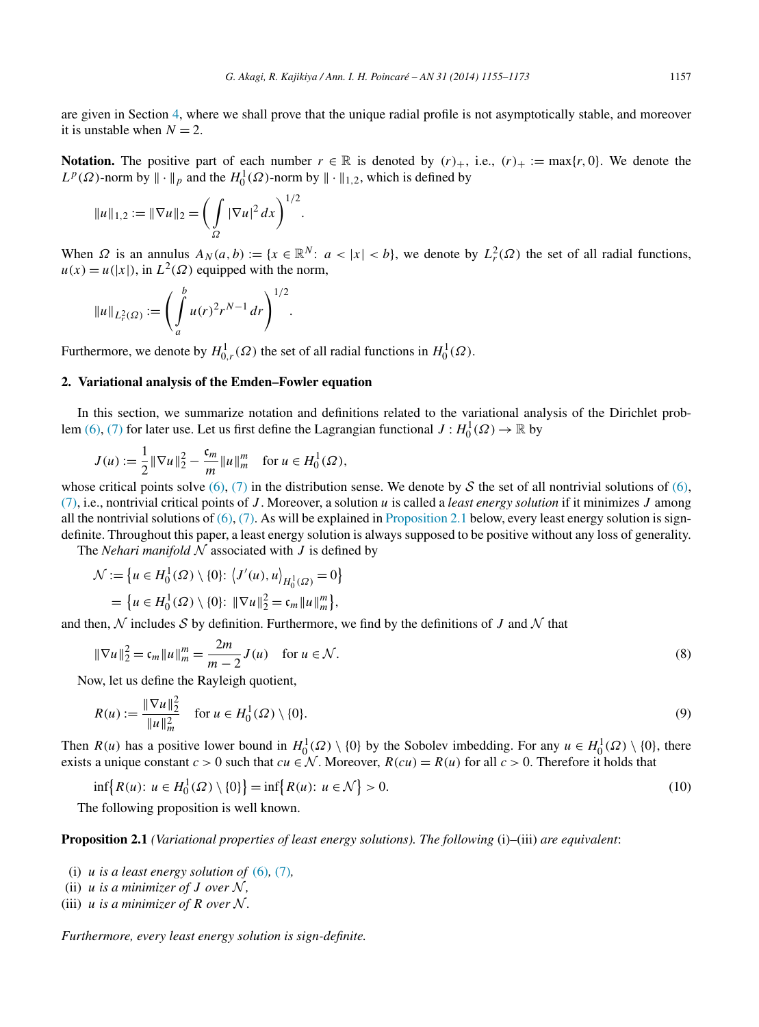<span id="page-2-0"></span>are given in Section [4,](#page-5-0) where we shall prove that the unique radial profile is not asymptotically stable, and moreover it is unstable when  $N = 2$ .

**Notation.** The positive part of each number  $r \in \mathbb{R}$  is denoted by  $(r)_{+}$ , i.e.,  $(r)_{+} := \max\{r, 0\}$ . We denote the  $L^p(\Omega)$ -norm by  $\|\cdot\|_p$  and the  $H_0^1(\Omega)$ -norm by  $\|\cdot\|_{1,2}$ , which is defined by

$$
||u||_{1,2} := ||\nabla u||_2 = \bigg(\int_{\Omega} |\nabla u|^2 dx\bigg)^{1/2}.
$$

When  $\Omega$  is an annulus  $A_N(a, b) := \{x \in \mathbb{R}^N : a < |x| < b\}$ , we denote by  $L^2_r(\Omega)$  the set of all radial functions,  $u(x) = u(|x|)$ , in  $L^2(\Omega)$  equipped with the norm,

$$
||u||_{L_r^2(\Omega)} := \left(\int_a^b u(r)^2 r^{N-1} dr\right)^{1/2}.
$$

Furthermore, we denote by  $H^1_{0,r}(\Omega)$  the set of all radial functions in  $H^1_0(\Omega)$ .

# **2. Variational analysis of the Emden–Fowler equation**

In this section, we summarize notation and definitions related to the variational analysis of the Dirichlet prob-lem [\(6\),](#page-1-0) [\(7\)](#page-1-0) for later use. Let us first define the Lagrangian functional  $J: H_0^1(\Omega) \to \mathbb{R}$  by

$$
J(u) := \frac{1}{2} ||\nabla u||_2^2 - \frac{c_m}{m} ||u||_m^m \text{ for } u \in H_0^1(\Omega),
$$

whose critical points solve  $(6)$ ,  $(7)$  in the distribution sense. We denote by S the set of all nontrivial solutions of  $(6)$ , [\(7\),](#page-1-0) i.e., nontrivial critical points of *J* . Moreover, a solution *u* is called a *least energy solution* if it minimizes *J* among all the nontrivial solutions of  $(6)$ ,  $(7)$ . As will be explained in Proposition 2.1 below, every least energy solution is signdefinite. Throughout this paper, a least energy solution is always supposed to be positive without any loss of generality.

The *Nehari* manifold  $N$  associated with  $J$  is defined by

$$
\mathcal{N} := \left\{ u \in H_0^1(\Omega) \setminus \{0\} : \left\langle J'(u), u \right\rangle_{H_0^1(\Omega)} = 0 \right\}
$$
  
= 
$$
\left\{ u \in H_0^1(\Omega) \setminus \{0\} : \|\nabla u\|_2^2 = \mathfrak{c}_m \|u\|_m^m \right\},\
$$

and then,  $\mathcal N$  includes  $\mathcal S$  by definition. Furthermore, we find by the definitions of  $J$  and  $\mathcal N$  that

$$
\|\nabla u\|_2^2 = \mathfrak{c}_m \|u\|_m^m = \frac{2m}{m-2} J(u) \quad \text{for } u \in \mathcal{N}.
$$
 (8)

Now, let us define the Rayleigh quotient,

$$
R(u) := \frac{\|\nabla u\|_2^2}{\|u\|_m^2} \quad \text{for } u \in H_0^1(\Omega) \setminus \{0\}.
$$
 (9)

Then  $R(u)$  has a positive lower bound in  $H_0^1(\Omega) \setminus \{0\}$  by the Sobolev imbedding. For any  $u \in H_0^1(\Omega) \setminus \{0\}$ , there exists a unique constant  $c > 0$  such that  $cu \in \mathcal{N}$ . Moreover,  $R(cu) = R(u)$  for all  $c > 0$ . Therefore it holds that

$$
\inf\{R(u): u \in H_0^1(\Omega) \setminus \{0\}\} = \inf\{R(u): u \in \mathcal{N}\} > 0.
$$
\n(10)

The following proposition is well known.

**Proposition 2.1** *(Variational properties of least energy solutions). The following* (i)–(iii) *are equivalent*:

- (i)  $u$  *is a least energy solution of* [\(6\)](#page-1-0), [\(7\)](#page-1-0),
- (ii)  $u$  *is a minimizer of*  $J$  *over*  $N$ *,*
- (iii)  $u$  *is a minimizer of R over*  $\mathcal{N}$ *.*

*Furthermore, every least energy solution is sign-definite.*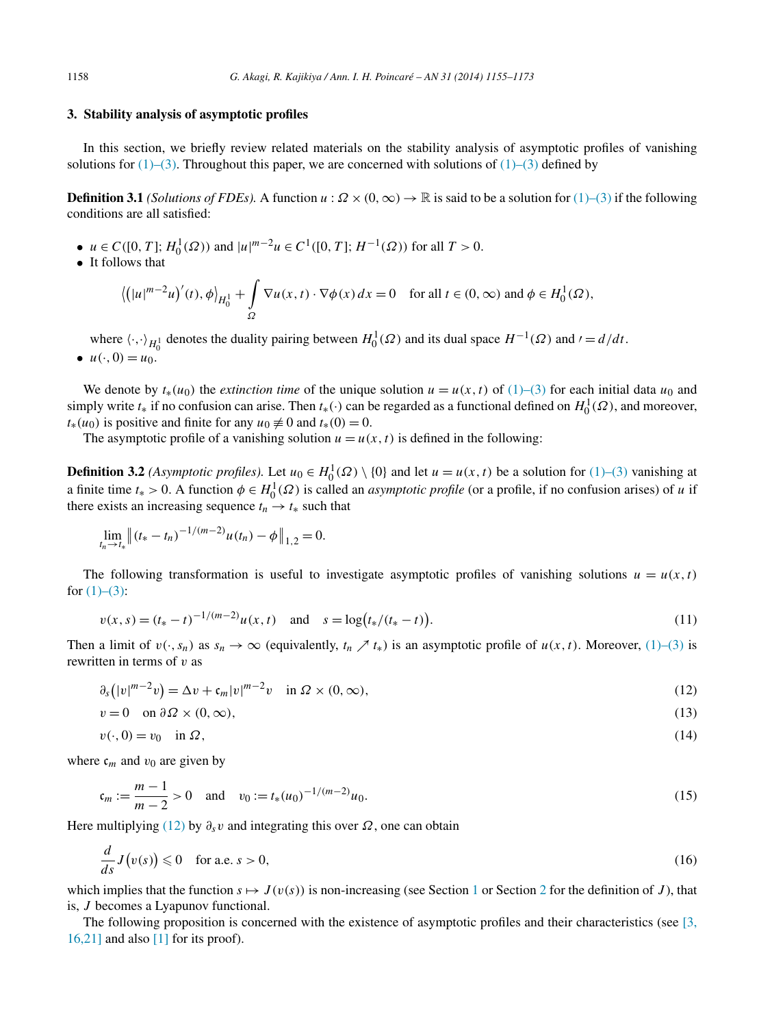#### <span id="page-3-0"></span>**3. Stability analysis of asymptotic profiles**

In this section, we briefly review related materials on the stability analysis of asymptotic profiles of vanishing solutions for  $(1)$ – $(3)$ . Throughout this paper, we are concerned with solutions of  $(1)$ – $(3)$  defined by

**Definition 3.1** *(Solutions of FDEs).* A function  $u : \Omega \times (0, \infty) \to \mathbb{R}$  is said to be a solution for [\(1\)–\(3\)](#page-0-0) if the following conditions are all satisfied:

- $u \in C([0, T]; H_0^1(\Omega))$  and  $|u|^{m-2}u \in C^1([0, T]; H^{-1}(\Omega))$  for all  $T > 0$ .
- It follows that

$$
\left\langle \left( |u|^{m-2}u \right)'(t), \phi \right\rangle_{H_0^1} + \int_{\Omega} \nabla u(x, t) \cdot \nabla \phi(x) \, dx = 0 \quad \text{for all } t \in (0, \infty) \text{ and } \phi \in H_0^1(\Omega),
$$

where  $\langle \cdot, \cdot \rangle_{H_0^1}$  denotes the duality pairing between  $H_0^1(\Omega)$  and its dual space  $H^{-1}(\Omega)$  and  $\prime = d/dt$ .

•  $u(\cdot, 0) = u_0$ .

We denote by  $t_*(u_0)$  the *extinction time* of the unique solution  $u = u(x, t)$  of [\(1\)–\(3\)](#page-0-0) for each initial data  $u_0$  and simply write  $t_*$  if no confusion can arise. Then  $t_*(\cdot)$  can be regarded as a functional defined on  $H_0^1(\Omega)$ , and moreover,  $t_*(u_0)$  is positive and finite for any  $u_0 \neq 0$  and  $t_*(0) = 0$ .

The asymptotic profile of a vanishing solution  $u = u(x, t)$  is defined in the following:

**Definition 3.2** *(Asymptotic profiles)*. Let  $u_0 \in H_0^1(\Omega) \setminus \{0\}$  and let  $u = u(x, t)$  be a solution for [\(1\)–\(3\)](#page-0-0) vanishing at a finite time  $t_* > 0$ . A function  $\phi \in H_0^1(\Omega)$  is called an *asymptotic profile* (or a profile, if no confusion arises) of *u* if there exists an increasing sequence  $t_n \rightarrow t_*$  such that

$$
\lim_{t_n \to t_*} \|(t_* - t_n)^{-1/(m-2)} u(t_n) - \phi\|_{1,2} = 0.
$$

The following transformation is useful to investigate asymptotic profiles of vanishing solutions  $u = u(x, t)$ for  $(1)–(3)$ :

$$
v(x,s) = (t_* - t)^{-1/(m-2)}u(x,t) \quad \text{and} \quad s = \log(t_*/(t_* - t)).
$$
\n(11)

Then a limit of  $v(\cdot, s_n)$  as  $s_n \to \infty$  (equivalently,  $t_n \nearrow t_*$ ) is an asymptotic profile of  $u(x, t)$ . Moreover, [\(1\)–\(3\)](#page-0-0) is rewritten in terms of *v* as

$$
\partial_s(|v|^{m-2}v) = \Delta v + \mathfrak{c}_m|v|^{m-2}v \quad \text{in } \Omega \times (0,\infty), \tag{12}
$$

$$
v = 0 \quad \text{on } \partial \Omega \times (0, \infty), \tag{13}
$$

$$
v(\cdot,0) = v_0 \quad \text{in } \Omega,\tag{14}
$$

where  $c_m$  and  $v_0$  are given by

$$
\mathfrak{c}_m := \frac{m-1}{m-2} > 0 \quad \text{and} \quad v_0 := t_*(u_0)^{-1/(m-2)} u_0. \tag{15}
$$

Here multiplying (12) by  $\partial_s v$  and integrating this over  $\Omega$ , one can obtain

$$
\frac{d}{ds}J(v(s)) \leq 0 \quad \text{for a.e. } s > 0,
$$
\n(16)

which implies that the function  $s \mapsto J(v(s))$  is non-increasing (see Section [1](#page-0-0) or Section [2](#page-2-0) for the definition of *J*), that is, *J* becomes a Lyapunov functional.

The following proposition is concerned with the existence of asymptotic profiles and their characteristics (see [\[3,](#page-18-0)  $16,21$ ] and also [\[1\]](#page-18-0) for its proof).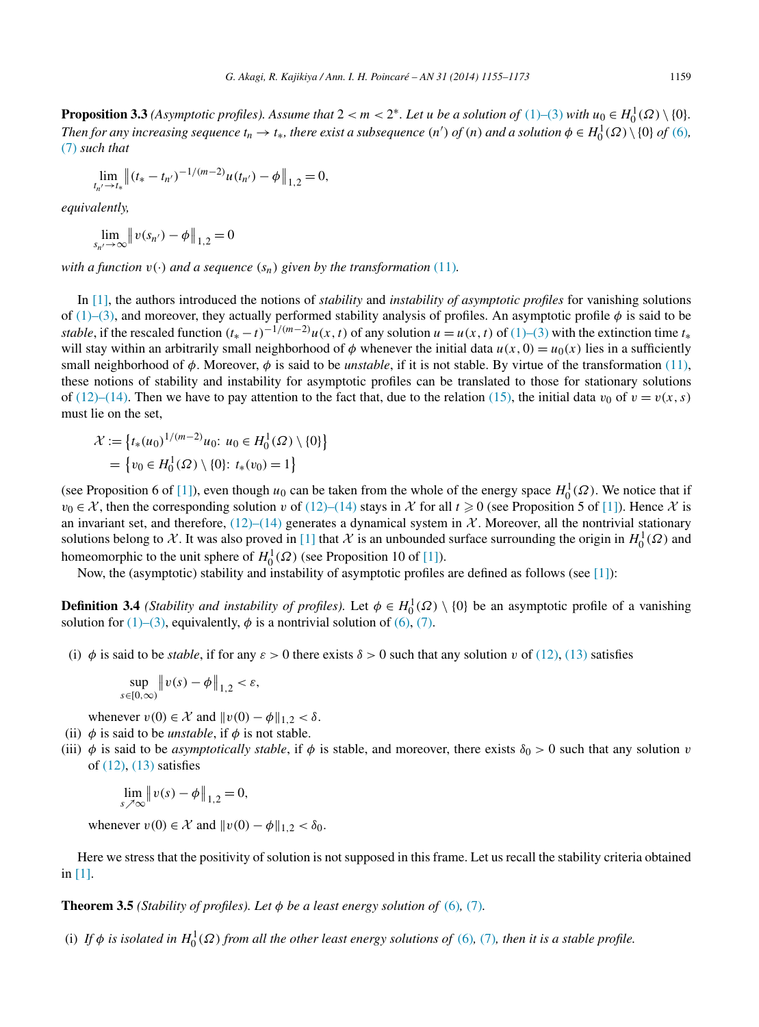<span id="page-4-0"></span>**Proposition 3.3** *(Asymptotic profiles). Assume that*  $2 < m < 2^*$ *. Let u be a solution of*  $(1)$ – $(3)$  *with*  $u_0 \in H_0^1(\Omega) \setminus \{0\}$ *. Then for any increasing sequence*  $t_n \to t_*$ , there exist a subsequence  $(n')$  of  $(n)$  and a solution  $\phi \in H_0^1(\Omega) \setminus \{0\}$  of  $(6)$ , [\(7\)](#page-1-0) *such that*

$$
\lim_{t_{n'} \to t_*} \|(t_* - t_{n'})^{-1/(m-2)}u(t_{n'}) - \phi\|_{1,2} = 0,
$$

*equivalently,*

$$
\lim_{s_{n'} \to \infty} ||v(s_{n'}) - \phi||_{1,2} = 0
$$

*with a function*  $v(\cdot)$  *and a sequence*  $(s_n)$  *given by the transformation* [\(11\)](#page-3-0)*.* 

In [\[1\],](#page-18-0) the authors introduced the notions of *stability* and *instability of asymptotic profiles* for vanishing solutions of [\(1\)–\(3\),](#page-0-0) and moreover, they actually performed stability analysis of profiles. An asymptotic profile *φ* is said to be *stable*, if the rescaled function  $(t_* - t)^{-1/(m-2)}u(x, t)$  of any solution  $u = u(x, t)$  of [\(1\)–\(3\)](#page-0-0) with the extinction time  $t_*$ will stay within an arbitrarily small neighborhood of  $\phi$  whenever the initial data  $u(x, 0) = u_0(x)$  lies in a sufficiently small neighborhood of  $\phi$ . Moreover,  $\phi$  is said to be *unstable*, if it is not stable. By virtue of the transformation [\(11\),](#page-3-0) these notions of stability and instability for asymptotic profiles can be translated to those for stationary solutions of [\(12\)–\(14\).](#page-3-0) Then we have to pay attention to the fact that, due to the relation [\(15\),](#page-3-0) the initial data  $v_0$  of  $v = v(x, s)$ must lie on the set,

$$
\mathcal{X} := \left\{ t_*(u_0)^{1/(m-2)} u_0 : u_0 \in H_0^1(\Omega) \setminus \{0\} \right\}
$$

$$
= \left\{ v_0 \in H_0^1(\Omega) \setminus \{0\} : t_*(v_0) = 1 \right\}
$$

(see Proposition 6 of [\[1\]\)](#page-18-0), even though  $u_0$  can be taken from the whole of the energy space  $H_0^1(\Omega)$ . We notice that if  $v_0 \in \mathcal{X}$ , then the corresponding solution *v* of [\(12\)–\(14\)](#page-3-0) stays in  $\mathcal{X}$  for all  $t \ge 0$  (see Proposition 5 of [\[1\]\)](#page-18-0). Hence  $\mathcal{X}$  is an invariant set, and therefore,  $(12)$ – $(14)$  generates a dynamical system in X. Moreover, all the nontrivial stationary solutions belong to X. It was also proved in [\[1\]](#page-18-0) that X is an unbounded surface surrounding the origin in  $H_0^1(\Omega)$  and homeomorphic to the unit sphere of  $H_0^1(\Omega)$  (see Proposition 10 of [\[1\]\)](#page-18-0).

Now, the (asymptotic) stability and instability of asymptotic profiles are defined as follows (see [\[1\]\)](#page-18-0):

**Definition 3.4** *(Stability and instability of profiles)*. Let  $\phi \in H_0^1(\Omega) \setminus \{0\}$  be an asymptotic profile of a vanishing solution for  $(1)$ – $(3)$ , equivalently,  $\phi$  is a nontrivial solution of  $(6)$ ,  $(7)$ .

(i)  $\phi$  is said to be *stable*, if for any  $\varepsilon > 0$  there exists  $\delta > 0$  such that any solution *v* of [\(12\),](#page-3-0) [\(13\)](#page-3-0) satisfies

$$
\sup_{s\in[0,\infty)}||v(s)-\phi||_{1,2}<\varepsilon,
$$

whenever  $v(0) \in \mathcal{X}$  and  $||v(0) - \phi||_{1,2} < \delta$ .

- (ii)  $\phi$  is said to be *unstable*, if  $\phi$  is not stable.
- (iii)  $\phi$  is said to be *asymptotically stable*, if  $\phi$  is stable, and moreover, there exists  $\delta_0 > 0$  such that any solution *v* of [\(12\),](#page-3-0) [\(13\)](#page-3-0) satisfies

$$
\lim_{s \nearrow \infty} ||v(s) - \phi||_{1,2} = 0,
$$

whenever  $v(0) \in \mathcal{X}$  and  $||v(0) - \phi||_{1,2} < \delta_0$ .

Here we stress that the positivity of solution is not supposed in this frame. Let us recall the stability criteria obtained in [\[1\].](#page-18-0)

**Theorem 3.5** *(Stability of profiles). Let*  $\phi$  *be a least energy solution of* [\(6\)](#page-1-0)*,* [\(7\)](#page-1-0)*.* 

(i) If  $\phi$  *is isolated in*  $H_0^1(\Omega)$  *from all the other least energy solutions of* [\(6\)](#page-1-0), [\(7\)](#page-1-0), *then it is a stable profile.*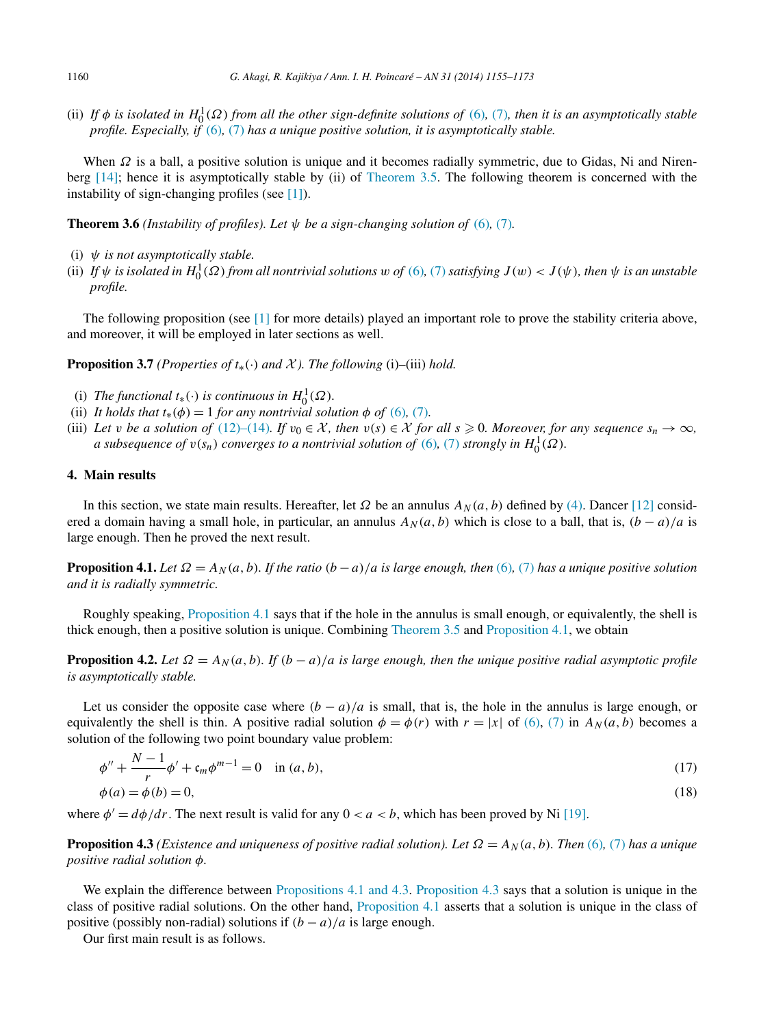<span id="page-5-0"></span>(ii) If  $\phi$  *is isolated in*  $H_0^1(\Omega)$  from all the other sign-definite solutions of [\(6\)](#page-1-0), [\(7\)](#page-1-0), then it is an asymptotically stable *profile. Especially, if* [\(6\)](#page-1-0)*,* [\(7\)](#page-1-0) *has a unique positive solution, it is asymptotically stable.*

When *Ω* is a ball, a positive solution is unique and it becomes radially symmetric, due to Gidas, Ni and Nirenberg [\[14\];](#page-18-0) hence it is asymptotically stable by (ii) of [Theorem 3.5.](#page-4-0) The following theorem is concerned with the instability of sign-changing profiles (see [\[1\]\)](#page-18-0).

**Theorem 3.6** *(Instability of profiles). Let*  $\psi$  *be a sign-changing solution of* [\(6\)](#page-1-0)*,* [\(7\)](#page-1-0)*.* 

- (i) *ψ is not asymptotically stable.*
- (ii) If  $\psi$  is isolated in  $H_0^1(\Omega)$  from all nontrivial solutions w of [\(6\)](#page-1-0), [\(7\)](#page-1-0) satisfying  $J(w) < J(\psi)$ , then  $\psi$  is an unstable *profile.*

The following proposition (see [\[1\]](#page-18-0) for more details) played an important role to prove the stability criteria above, and moreover, it will be employed in later sections as well.

**Proposition 3.7** *(Properties of*  $t_*(\cdot)$  *and*  $\mathcal X$ *). The following* (i)–(iii) *hold.* 

- (i) *The functional*  $t_*(\cdot)$  *is continuous in*  $H_0^1(\Omega)$ *.*
- (ii) *It holds that*  $t_*(\phi) = 1$  *for any nontrivial solution*  $\phi$  *of* [\(6\)](#page-1-0)*,* [\(7\)](#page-1-0)*.*
- (iii) Let *v* be a solution of [\(12\)–\(14\)](#page-3-0)*.* If  $v_0 \in \mathcal{X}$ , then  $v(s) \in \mathcal{X}$  for all  $s \ge 0$ *. Moreover, for any sequence*  $s_n \to \infty$ *, a* subsequence of  $v(s_n)$  converges to a nontrivial solution of  $(6)$ ,  $(7)$  strongly in  $H_0^1(\Omega)$ .

### **4. Main results**

In this section, we state main results. Hereafter, let  $\Omega$  be an annulus  $A_N(a, b)$  defined by [\(4\).](#page-0-0) Dancer [\[12\]](#page-18-0) considered a domain having a small hole, in particular, an annulus  $A_N(a, b)$  which is close to a ball, that is,  $(b - a)/a$  is large enough. Then he proved the next result.

**Proposition 4.1.** *Let*  $\Omega = A_N(a, b)$ *. If the ratio*  $(b - a)/a$  *is large enough, then* [\(6\)](#page-1-0)*,* [\(7\)](#page-1-0) *has a unique positive solution and it is radially symmetric.*

Roughly speaking, Proposition 4.1 says that if the hole in the annulus is small enough, or equivalently, the shell is thick enough, then a positive solution is unique. Combining [Theorem 3.5](#page-4-0) and Proposition 4.1, we obtain

**Proposition 4.2.** Let  $\Omega = A_N(a, b)$ . If  $(b - a)/a$  is large enough, then the unique positive radial asymptotic profile *is asymptotically stable.*

Let us consider the opposite case where  $(b - a)/a$  is small, that is, the hole in the annulus is large enough, or equivalently the shell is thin. A positive radial solution  $\phi = \phi(r)$  with  $r = |x|$  of [\(6\),](#page-1-0) [\(7\)](#page-1-0) in  $A_N(a, b)$  becomes a solution of the following two point boundary value problem:

$$
\phi'' + \frac{N-1}{r} \phi' + \mathfrak{c}_m \phi^{m-1} = 0 \quad \text{in } (a, b),
$$
  
\n
$$
\phi(a) = \phi(b) = 0,
$$
\n(18)

where  $\phi' = d\phi/dr$ . The next result is valid for any  $0 < a < b$ , which has been proved by Ni [\[19\].](#page-18-0)

**Proposition 4.3** *(Existence and uniqueness of positive radial solution). Let*  $\Omega = A_N(a, b)$ *. Then* [\(6\)](#page-1-0)*,* [\(7\)](#page-1-0) *has a unique positive radial solution φ.*

We explain the difference between Propositions 4.1 and 4.3. Proposition 4.3 says that a solution is unique in the class of positive radial solutions. On the other hand, Proposition 4.1 asserts that a solution is unique in the class of positive (possibly non-radial) solutions if  $(b - a)/a$  is large enough.

Our first main result is as follows.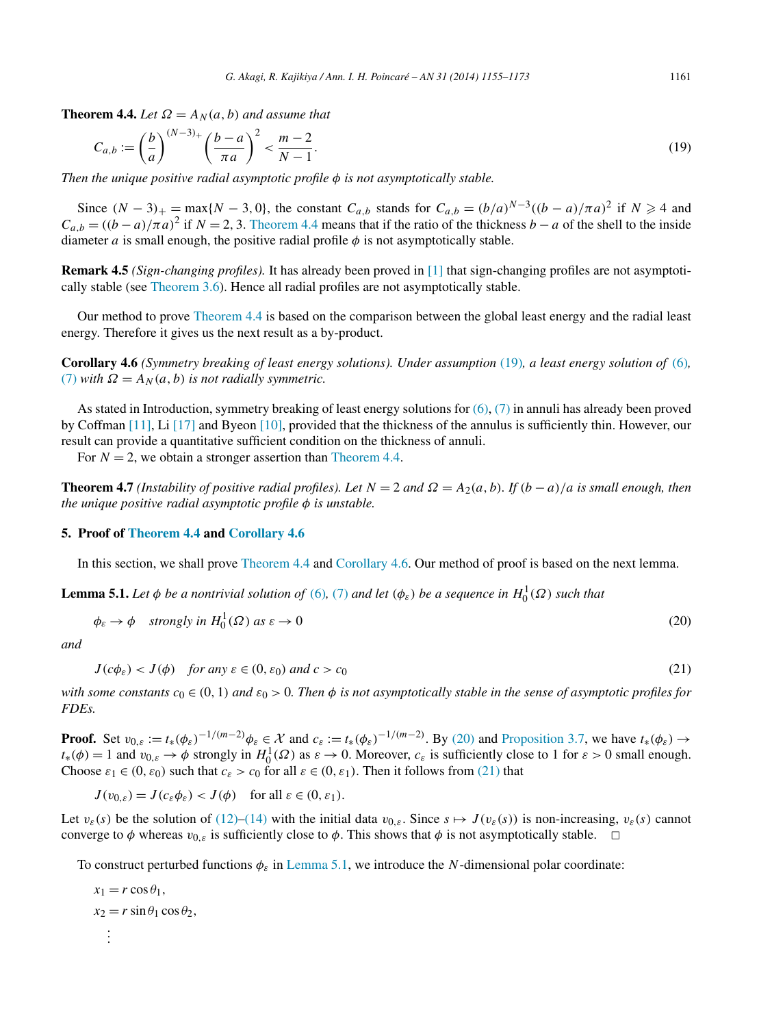<span id="page-6-0"></span>**Theorem 4.4.** *Let*  $\Omega = A_N(a, b)$  *and assume that* 

$$
C_{a,b} := \left(\frac{b}{a}\right)^{(N-3)+} \left(\frac{b-a}{\pi a}\right)^2 < \frac{m-2}{N-1}.\tag{19}
$$

*Then the unique positive radial asymptotic profile φ is not asymptotically stable.*

Since  $(N-3)_{+} = \max\{N-3, 0\}$ , the constant  $C_{a,b}$  stands for  $C_{a,b} = (b/a)^{N-3}((b-a)/\pi a)^2$  if  $N \ge 4$  and  $C_{a,b} = ((b-a)/\pi a)^2$  if  $N = 2, 3$ . Theorem 4.4 means that if the ratio of the thickness  $b-a$  of the shell to the inside diameter *a* is small enough, the positive radial profile  $\phi$  is not asymptotically stable.

**Remark 4.5** *(Sign-changing profiles).* It has already been proved in [\[1\]](#page-18-0) that sign-changing profiles are not asymptotically stable (see [Theorem 3.6\)](#page-5-0). Hence all radial profiles are not asymptotically stable.

Our method to prove Theorem 4.4 is based on the comparison between the global least energy and the radial least energy. Therefore it gives us the next result as a by-product.

**Corollary 4.6** *(Symmetry breaking of least energy solutions). Under assumption* (19)*, a least energy solution of* [\(6\)](#page-1-0)*,* [\(7\)](#page-1-0) *with*  $\Omega = A_N(a, b)$  *is not radially symmetric.* 

As stated in Introduction, symmetry breaking of least energy solutions for  $(6)$ ,  $(7)$  in annuli has already been proved by Coffman [\[11\],](#page-18-0) Li [\[17\]](#page-18-0) and Byeon [\[10\],](#page-18-0) provided that the thickness of the annulus is sufficiently thin. However, our result can provide a quantitative sufficient condition on the thickness of annuli.

For  $N = 2$ , we obtain a stronger assertion than Theorem 4.4.

**Theorem 4.7** *(Instability of positive radial profiles). Let*  $N = 2$  *and*  $\Omega = A_2(a, b)$ *. If*  $(b - a)/a$  *is small enough, then the unique positive radial asymptotic profile φ is unstable.*

#### **5. Proof of Theorem 4.4 and Corollary 4.6**

In this section, we shall prove Theorem 4.4 and Corollary 4.6. Our method of proof is based on the next lemma.

**Lemma 5.1.** *Let*  $\phi$  *be a nontrivial solution of* [\(6\)](#page-1-0), [\(7\)](#page-1-0) *and let* ( $\phi$ <sub>*ε*</sub>) *be a sequence in*  $H_0^1(\Omega)$  *such that* 

$$
\phi_{\varepsilon} \to \phi \quad \text{strongly in } H_0^1(\Omega) \text{ as } \varepsilon \to 0 \tag{20}
$$

*and*

$$
J(c\phi_{\varepsilon}) < J(\phi) \quad \text{for any } \varepsilon \in (0, \varepsilon_0) \text{ and } c > c_0 \tag{21}
$$

*with some constants*  $c_0 \in (0, 1)$  *and*  $\varepsilon_0 > 0$ *. Then*  $\phi$  *is not asymptotically stable in the sense of asymptotic profiles for FDEs.*

**Proof.** Set  $v_{0,\varepsilon} := t_*(\phi_{\varepsilon})^{-1/(m-2)}\phi_{\varepsilon} \in \mathcal{X}$  and  $c_{\varepsilon} := t_*(\phi_{\varepsilon})^{-1/(m-2)}$ . By (20) and [Proposition 3.7,](#page-5-0) we have  $t_*(\phi_{\varepsilon}) \to$  $t_*(\phi) = 1$  and  $v_{0,\varepsilon} \to \phi$  strongly in  $H_0^1(\Omega)$  as  $\varepsilon \to 0$ . Moreover,  $c_{\varepsilon}$  is sufficiently close to 1 for  $\varepsilon > 0$  small enough. Choose  $\varepsilon_1 \in (0, \varepsilon_0)$  such that  $c_{\varepsilon} > c_0$  for all  $\varepsilon \in (0, \varepsilon_1)$ . Then it follows from (21) that

 $J(v_{0,\varepsilon}) = J(c_{\varepsilon} \phi_{\varepsilon}) < J(\phi)$  for all  $\varepsilon \in (0, \varepsilon_1)$ .

Let  $v_{\varepsilon}(s)$  be the solution of [\(12\)–\(14\)](#page-3-0) with the initial data  $v_{0,\varepsilon}$ . Since  $s \mapsto J(v_{\varepsilon}(s))$  is non-increasing,  $v_{\varepsilon}(s)$  cannot converge to  $\phi$  whereas  $v_{0,\varepsilon}$  is sufficiently close to  $\phi$ . This shows that  $\phi$  is not asymptotically stable.  $\Box$ 

To construct perturbed functions *φε* in Lemma 5.1, we introduce the *N*-dimensional polar coordinate:

 $x_1 = r \cos \theta_1$ ,  $x_2 = r \sin \theta_1 \cos \theta_2$ , *. . .*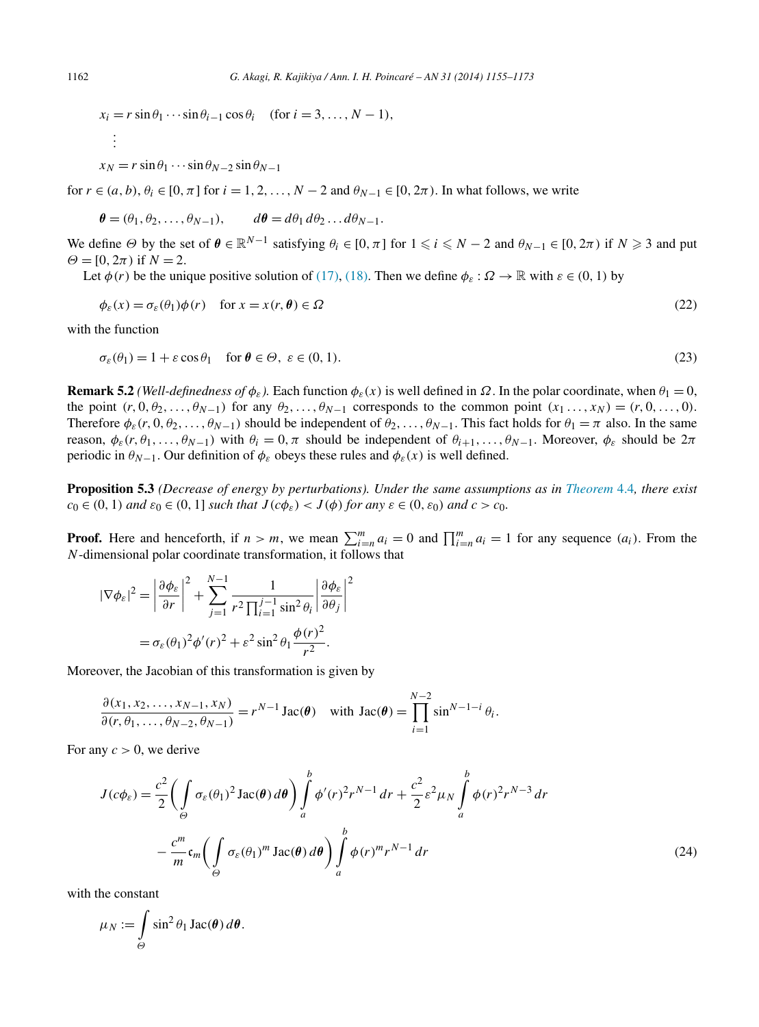<span id="page-7-0"></span>
$$
x_i = r \sin \theta_1 \cdots \sin \theta_{i-1} \cos \theta_i \quad (\text{for } i = 3, \dots, N-1),
$$
  
 
$$
\vdots
$$

$$
x_N = r \sin \theta_1 \cdots \sin \theta_{N-2} \sin \theta_{N-1}
$$

for  $r \in (a, b)$ ,  $\theta_i \in [0, \pi]$  for  $i = 1, 2, \ldots, N - 2$  and  $\theta_{N-1} \in [0, 2\pi)$ . In what follows, we write

$$
\boldsymbol{\theta} = (\theta_1, \theta_2, \dots, \theta_{N-1}), \qquad d\boldsymbol{\theta} = d\theta_1 d\theta_2 \dots d\theta_{N-1}.
$$

We define  $\Theta$  by the set of  $\theta \in \mathbb{R}^{N-1}$  satisfying  $\theta_i \in [0, \pi]$  for  $1 \leq i \leq N-2$  and  $\theta_{N-1} \in [0, 2\pi)$  if  $N \geq 3$  and put  $\Theta = [0, 2\pi)$  if  $N = 2$ .

Let  $\phi(r)$  be the unique positive solution of [\(17\),](#page-5-0) [\(18\).](#page-5-0) Then we define  $\phi_{\varepsilon} : \Omega \to \mathbb{R}$  with  $\varepsilon \in (0, 1)$  by

$$
\phi_{\varepsilon}(x) = \sigma_{\varepsilon}(\theta_1)\phi(r) \quad \text{for } x = x(r,\theta) \in \Omega
$$
\n(22)

with the function

$$
\sigma_{\varepsilon}(\theta_1) = 1 + \varepsilon \cos \theta_1 \quad \text{for } \theta \in \Theta, \ \varepsilon \in (0, 1). \tag{23}
$$

**Remark 5.2** *(Well-definedness of*  $\phi_{\varepsilon}$ ). Each function  $\phi_{\varepsilon}(x)$  is well defined in  $\Omega$ . In the polar coordinate, when  $\theta_1 = 0$ , the point  $(r, 0, \theta_2, \ldots, \theta_{N-1})$  for any  $\theta_2, \ldots, \theta_{N-1}$  corresponds to the common point  $(x_1, \ldots, x_N) = (r, 0, \ldots, 0)$ . Therefore  $\phi_{\varepsilon}(r, 0, \theta_2, \ldots, \theta_{N-1})$  should be independent of  $\theta_2, \ldots, \theta_{N-1}$ . This fact holds for  $\theta_1 = \pi$  also. In the same reason,  $\phi_{\varepsilon}(r,\theta_1,\ldots,\theta_{N-1})$  with  $\theta_i = 0, \pi$  should be independent of  $\theta_{i+1},\ldots,\theta_{N-1}$ . Moreover,  $\phi_{\varepsilon}$  should be  $2\pi$ periodic in  $\theta_{N-1}$ . Our definition of  $\phi_{\varepsilon}$  obeys these rules and  $\phi_{\varepsilon}(x)$  is well defined.

**Proposition 5.3** *(Decrease of energy by perturbations). Under the same assumptions as in [Theorem](#page-6-0)* 4.4*, there exist*  $c_0 \in (0, 1)$  *and*  $\varepsilon_0 \in (0, 1]$  *such that*  $J(c\phi_{\varepsilon}) < J(\phi)$  *for any*  $\varepsilon \in (0, \varepsilon_0)$  *and*  $c > c_0$ *.* 

**Proof.** Here and henceforth, if  $n > m$ , we mean  $\sum_{i=n}^{m} a_i = 0$  and  $\prod_{i=n}^{m} a_i = 1$  for any sequence  $(a_i)$ . From the *N*-dimensional polar coordinate transformation, it follows that

$$
|\nabla \phi_{\varepsilon}|^{2} = \left| \frac{\partial \phi_{\varepsilon}}{\partial r} \right|^{2} + \sum_{j=1}^{N-1} \frac{1}{r^{2} \prod_{i=1}^{j-1} \sin^{2} \theta_{i}} \left| \frac{\partial \phi_{\varepsilon}}{\partial \theta_{j}} \right|^{2}
$$

$$
= \sigma_{\varepsilon}(\theta_{1})^{2} \phi'(r)^{2} + \varepsilon^{2} \sin^{2} \theta_{1} \frac{\phi(r)^{2}}{r^{2}}.
$$

Moreover, the Jacobian of this transformation is given by

$$
\frac{\partial(x_1, x_2, \dots, x_{N-1}, x_N)}{\partial(r, \theta_1, \dots, \theta_{N-2}, \theta_{N-1})} = r^{N-1} \operatorname{Jac}(\boldsymbol{\theta}) \quad \text{with } \operatorname{Jac}(\boldsymbol{\theta}) = \prod_{i=1}^{N-2} \sin^{N-1-i} \theta_i.
$$

For any  $c > 0$ , we derive

$$
J(c\phi_{\varepsilon}) = \frac{c^2}{2} \left( \int_{\Theta} \sigma_{\varepsilon}(\theta_1)^2 \operatorname{Jac}(\theta) d\theta \right) \int_{a}^{b} \phi'(r)^2 r^{N-1} dr + \frac{c^2}{2} \varepsilon^2 \mu_N \int_{a}^{b} \phi(r)^2 r^{N-3} dr
$$

$$
- \frac{c^m}{m} \mathfrak{c}_m \left( \int_{\Theta} \sigma_{\varepsilon}(\theta_1)^m \operatorname{Jac}(\theta) d\theta \right) \int_{a}^{b} \phi(r)^m r^{N-1} dr \tag{24}
$$

with the constant

$$
\mu_N := \int\limits_{\Theta} \sin^2 \theta_1 \operatorname{Jac}(\boldsymbol{\theta}) \, d\boldsymbol{\theta}.
$$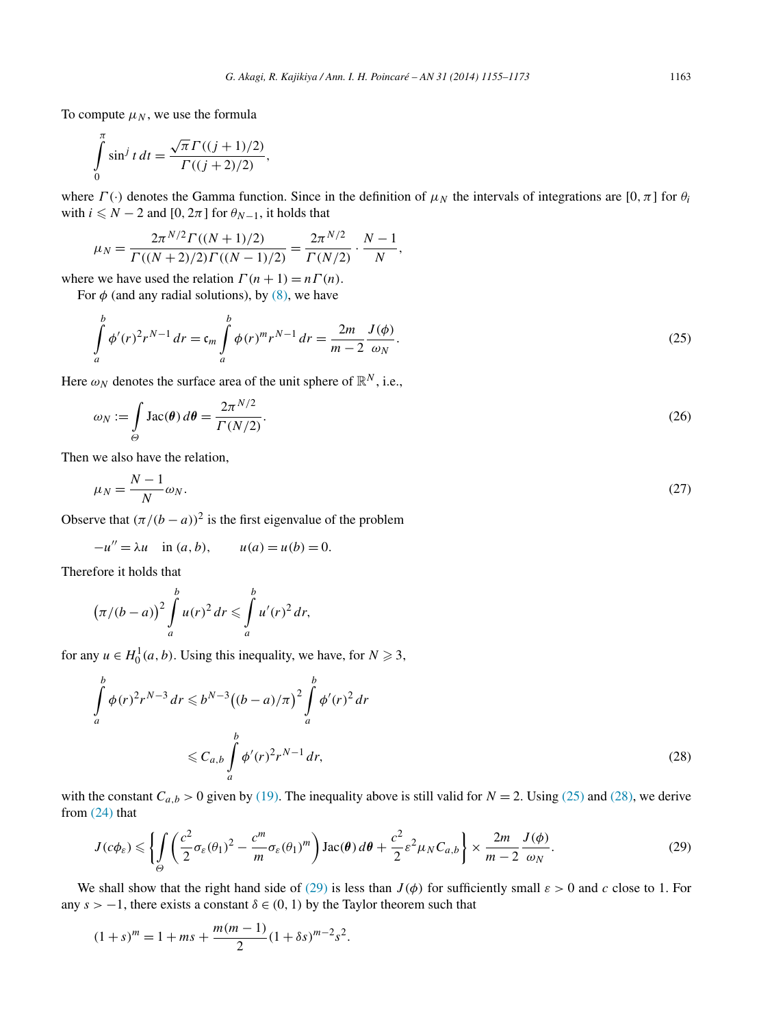<span id="page-8-0"></span>To compute  $\mu_N$ , we use the formula

$$
\int_{0}^{\pi} \sin^j t \, dt = \frac{\sqrt{\pi} \Gamma((j+1)/2)}{\Gamma((j+2)/2)},
$$

where  $\Gamma(\cdot)$  denotes the Gamma function. Since in the definition of  $\mu_N$  the intervals of integrations are  $[0, \pi]$  for  $\theta_i$ with  $i \leq N - 2$  and [0,  $2\pi$ ] for  $\theta_{N-1}$ , it holds that

$$
\mu_N = \frac{2\pi^{N/2} \Gamma((N+1)/2)}{\Gamma((N+2)/2) \Gamma((N-1)/2)} = \frac{2\pi^{N/2}}{\Gamma(N/2)} \cdot \frac{N-1}{N},
$$

where we have used the relation  $\Gamma(n + 1) = n\Gamma(n)$ .

For  $\phi$  (and any radial solutions), by [\(8\),](#page-2-0) we have

$$
\int_{a}^{b} \phi'(r)^{2} r^{N-1} dr = \mathfrak{c}_{m} \int_{a}^{b} \phi(r)^{m} r^{N-1} dr = \frac{2m}{m-2} \frac{J(\phi)}{\omega_{N}}.
$$
\n(25)

Here  $\omega_N$  denotes the surface area of the unit sphere of  $\mathbb{R}^N$ , i.e.,

$$
\omega_N := \int\limits_{\Theta} \text{Jac}(\boldsymbol{\theta}) \, d\boldsymbol{\theta} = \frac{2\pi^{N/2}}{\Gamma(N/2)}.
$$
\n(26)

Then we also have the relation,

$$
\mu_N = \frac{N-1}{N} \omega_N. \tag{27}
$$

Observe that  $(\pi/(b - a))^2$  is the first eigenvalue of the problem

 $-u'' = \lambda u$  in  $(a, b)$ ,  $u(a) = u(b) = 0$ .

Therefore it holds that

$$
(\pi/(b-a))^2 \int_a^b u(r)^2 dr \leq \int_a^b u'(r)^2 dr,
$$

for any  $u \in H_0^1(a, b)$ . Using this inequality, we have, for  $N \ge 3$ ,

$$
\int_{a}^{b} \phi(r)^{2} r^{N-3} dr \leqslant b^{N-3} ((b-a)/\pi)^{2} \int_{a}^{b} \phi'(r)^{2} dr
$$
\n
$$
\leqslant C_{a,b} \int_{a}^{b} \phi'(r)^{2} r^{N-1} dr,
$$
\n(28)

with the constant  $C_{a,b} > 0$  given by [\(19\).](#page-6-0) The inequality above is still valid for  $N = 2$ . Using (25) and (28), we derive from [\(24\)](#page-7-0) that

$$
J(c\phi_{\varepsilon}) \leq \left\{ \int_{\Theta} \left( \frac{c^2}{2} \sigma_{\varepsilon}(\theta_1)^2 - \frac{c^m}{m} \sigma_{\varepsilon}(\theta_1)^m \right) \text{Jac}(\theta) d\theta + \frac{c^2}{2} \varepsilon^2 \mu_N C_{a,b} \right\} \times \frac{2m}{m-2} \frac{J(\phi)}{\omega_N}.
$$
 (29)

We shall show that the right hand side of (29) is less than  $J(\phi)$  for sufficiently small  $\varepsilon > 0$  and c close to 1. For any  $s > -1$ , there exists a constant  $\delta \in (0, 1)$  by the Taylor theorem such that

$$
(1+s)^m = 1 + ms + \frac{m(m-1)}{2}(1+\delta s)^{m-2} s^2.
$$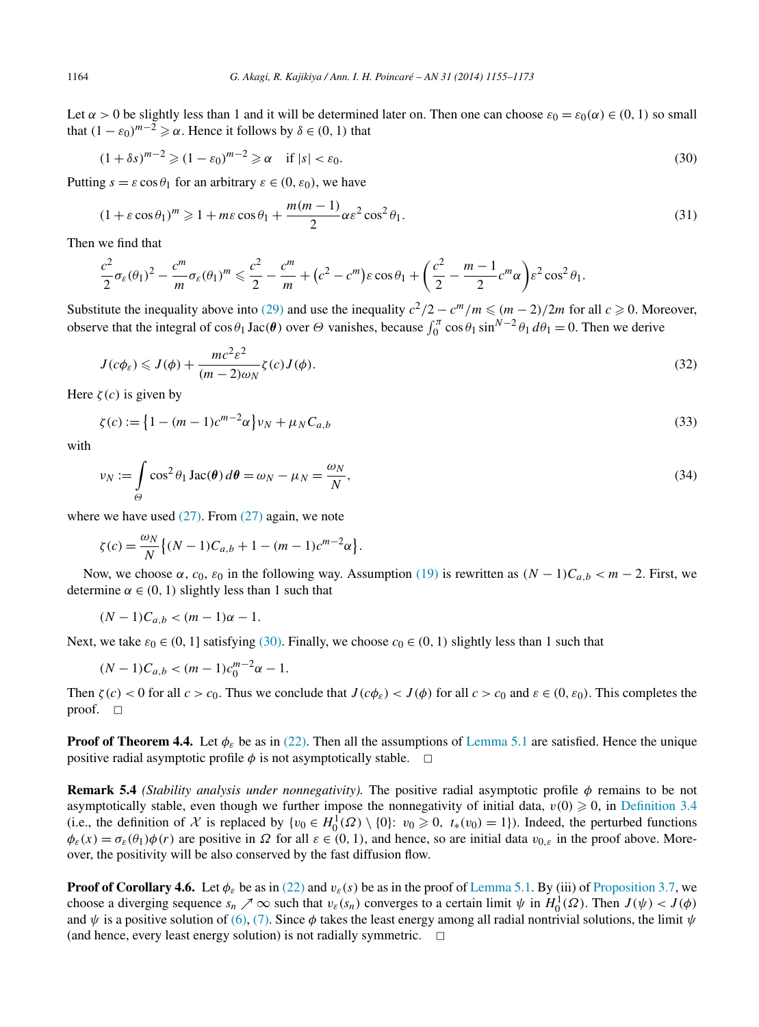Let  $\alpha > 0$  be slightly less than 1 and it will be determined later on. Then one can choose  $\varepsilon_0 = \varepsilon_0(\alpha) \in (0, 1)$  so small that  $(1 - \varepsilon_0)^{m-2} \ge \alpha$ . Hence it follows by  $\delta \in (0, 1)$  that

$$
(1+\delta s)^{m-2} \geqslant (1-\varepsilon_0)^{m-2} \geqslant \alpha \quad \text{if } |s| < \varepsilon_0. \tag{30}
$$

Putting  $s = \varepsilon \cos \theta_1$  for an arbitrary  $\varepsilon \in (0, \varepsilon_0)$ , we have

$$
(1 + \varepsilon \cos \theta_1)^m \ge 1 + m\varepsilon \cos \theta_1 + \frac{m(m-1)}{2} \alpha \varepsilon^2 \cos^2 \theta_1.
$$
 (31)

Then we find that

$$
\frac{c^2}{2}\sigma_{\varepsilon}(\theta_1)^2 - \frac{c^m}{m}\sigma_{\varepsilon}(\theta_1)^m \leq \frac{c^2}{2} - \frac{c^m}{m} + (c^2 - c^m)\varepsilon \cos \theta_1 + \left(\frac{c^2}{2} - \frac{m-1}{2}c^m\alpha\right)\varepsilon^2 \cos^2 \theta_1.
$$

Substitute the inequality above into [\(29\)](#page-8-0) and use the inequality  $c^2/2 - c^m/m \leqslant (m-2)/2m$  for all  $c \geqslant 0$ . Moreover, observe that the integral of  $\cos\theta_1 \text{Jac}(\theta)$  over  $\Theta$  vanishes, because  $\int_0^{\pi} \cos\theta_1 \sin^{N-2}\theta_1 d\theta_1 = 0$ . Then we derive

$$
J(c\phi_{\varepsilon}) \leqslant J(\phi) + \frac{mc^2 \varepsilon^2}{(m-2)\omega_N} \zeta(c)J(\phi).
$$
\n(32)

Here  $\zeta(c)$  is given by

$$
\zeta(c) := \left\{ 1 - (m-1)c^{m-2}\alpha \right\} \nu_N + \mu_N C_{a,b} \tag{33}
$$

with

$$
\nu_N := \int\limits_{\Theta} \cos^2 \theta_1 \operatorname{Jac}(\theta) \, d\theta = \omega_N - \mu_N = \frac{\omega_N}{N},\tag{34}
$$

where we have used  $(27)$ . From  $(27)$  again, we note

$$
\zeta(c) = \frac{\omega_N}{N} \{ (N-1)C_{a,b} + 1 - (m-1)c^{m-2}\alpha \}.
$$

Now, we choose *α*, *c*<sub>0</sub>, *ε*<sub>0</sub> in the following way. Assumption [\(19\)](#page-6-0) is rewritten as  $(N - 1)C_{a,b} < m - 2$ . First, we determine  $\alpha \in (0, 1)$  slightly less than 1 such that

$$
(N-1)C_{a,b} < (m-1)\alpha - 1.
$$

Next, we take  $\varepsilon_0 \in (0, 1]$  satisfying (30). Finally, we choose  $c_0 \in (0, 1)$  slightly less than 1 such that

$$
(N-1)C_{a,b} < (m-1)c_0^{m-2}\alpha - 1.
$$

Then  $\zeta(c) < 0$  for all  $c > c_0$ . Thus we conclude that  $J(c\phi_{\varepsilon}) < J(\phi)$  for all  $c > c_0$  and  $\varepsilon \in (0, \varepsilon_0)$ . This completes the proof.  $\square$ 

**Proof of Theorem 4.4.** Let  $\phi_{\varepsilon}$  be as in [\(22\).](#page-7-0) Then all the assumptions of [Lemma 5.1](#page-6-0) are satisfied. Hence the unique positive radial asymptotic profile  $\phi$  is not asymptotically stable.  $\Box$ 

**Remark 5.4** *(Stability analysis under nonnegativity).* The positive radial asymptotic profile *φ* remains to be not asymptotically stable, even though we further impose the nonnegativity of initial data,  $v(0) \geq 0$ , in [Definition 3.4](#page-4-0) (i.e., the definition of X is replaced by  $\{v_0 \in H_0^1(\Omega) \setminus \{0\}: v_0 \ge 0, t_*(v_0) = 1\}$ ). Indeed, the perturbed functions  $\phi_{\varepsilon}(x) = \sigma_{\varepsilon}(\theta_1)\phi(r)$  are positive in  $\Omega$  for all  $\varepsilon \in (0, 1)$ , and hence, so are initial data  $v_{0,\varepsilon}$  in the proof above. Moreover, the positivity will be also conserved by the fast diffusion flow.

**Proof of Corollary 4.6.** Let  $\phi_{\varepsilon}$  be as in [\(22\)](#page-7-0) and  $v_{\varepsilon}(s)$  be as in the proof of [Lemma 5.1.](#page-6-0) By (iii) of [Proposition 3.7,](#page-5-0) we choose a diverging sequence  $s_n \nearrow \infty$  such that  $v_{\varepsilon}(s_n)$  converges to a certain limit  $\psi$  in  $H_0^1(\Omega)$ . Then  $J(\psi) < J(\phi)$ and  $\psi$  is a positive solution of [\(6\),](#page-1-0) [\(7\).](#page-1-0) Since  $\phi$  takes the least energy among all radial nontrivial solutions, the limit  $\psi$ (and hence, every least energy solution) is not radially symmetric.  $\Box$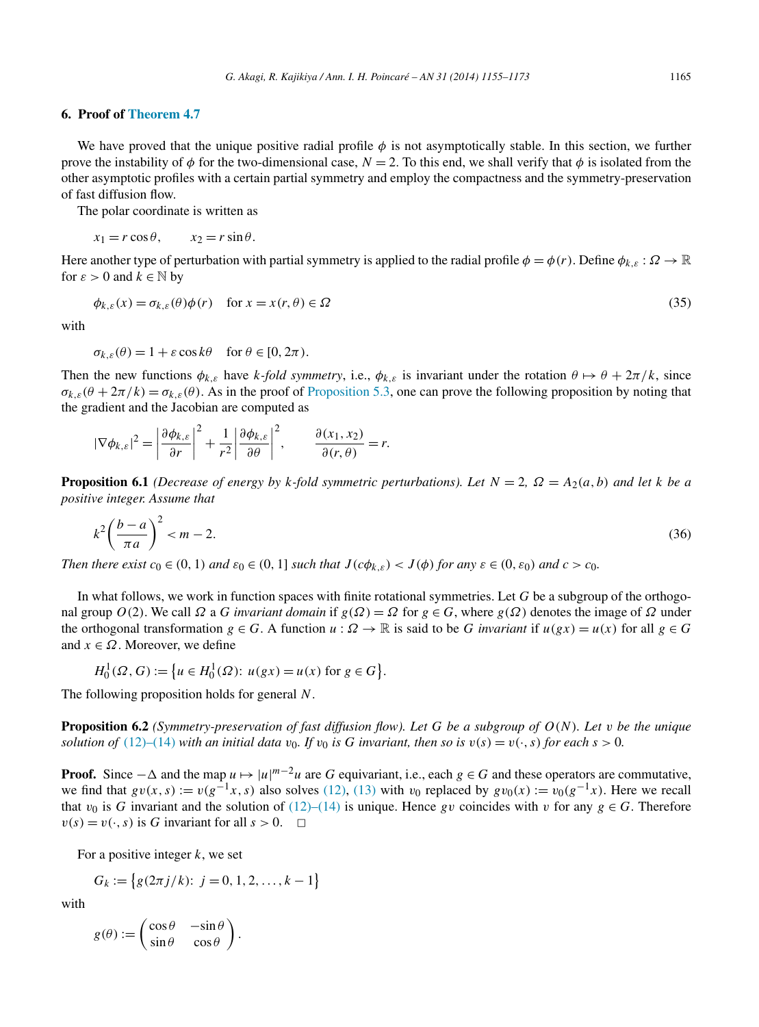#### <span id="page-10-0"></span>**6. Proof of [Theorem 4.7](#page-6-0)**

We have proved that the unique positive radial profile *φ* is not asymptotically stable. In this section, we further prove the instability of  $\phi$  for the two-dimensional case,  $N = 2$ . To this end, we shall verify that  $\phi$  is isolated from the other asymptotic profiles with a certain partial symmetry and employ the compactness and the symmetry-preservation of fast diffusion flow.

The polar coordinate is written as

$$
x_1 = r \cos \theta, \qquad x_2 = r \sin \theta.
$$

Here another type of perturbation with partial symmetry is applied to the radial profile  $\phi = \phi(r)$ . Define  $\phi_{k,\varepsilon} : \Omega \to \mathbb{R}$ for  $\varepsilon > 0$  and  $k \in \mathbb{N}$  by

$$
\phi_{k,\varepsilon}(x) = \sigma_{k,\varepsilon}(\theta)\phi(r) \quad \text{for } x = x(r,\theta) \in \Omega
$$
\n(35)

with

$$
\sigma_{k,\varepsilon}(\theta) = 1 + \varepsilon \cos k\theta \quad \text{for } \theta \in [0, 2\pi).
$$

Then the new functions  $\phi_{k,\varepsilon}$  have *k*-*fold symmetry*, i.e.,  $\phi_{k,\varepsilon}$  is invariant under the rotation  $\theta \mapsto \theta + 2\pi/k$ , since  $\sigma_{k,\varepsilon}(\theta + 2\pi/k) = \sigma_{k,\varepsilon}(\theta)$ . As in the proof of [Proposition 5.3,](#page-7-0) one can prove the following proposition by noting that the gradient and the Jacobian are computed as

$$
|\nabla \phi_{k,\varepsilon}|^2 = \left|\frac{\partial \phi_{k,\varepsilon}}{\partial r}\right|^2 + \frac{1}{r^2} \left|\frac{\partial \phi_{k,\varepsilon}}{\partial \theta}\right|^2, \qquad \frac{\partial (x_1, x_2)}{\partial (r, \theta)} = r.
$$

**Proposition 6.1** *(Decrease of energy by k-fold symmetric perturbations). Let*  $N = 2$ ,  $\Omega = A_2(a, b)$  *and let*  $k$  *be a positive integer. Assume that*

$$
k^2 \left(\frac{b-a}{\pi a}\right)^2 < m-2. \tag{36}
$$

Then there exist  $c_0 \in (0, 1)$  and  $\varepsilon_0 \in (0, 1]$  such that  $J(c\phi_{k,\varepsilon}) < J(\phi)$  for any  $\varepsilon \in (0, \varepsilon_0)$  and  $c > c_0$ .

In what follows, we work in function spaces with finite rotational symmetries. Let *G* be a subgroup of the orthogonal group  $O(2)$ . We call  $\Omega$  a *G invariant domain* if  $g(\Omega) = \Omega$  for  $g \in G$ , where  $g(\Omega)$  denotes the image of  $\Omega$  under the orthogonal transformation  $g \in G$ . A function  $u : \Omega \to \mathbb{R}$  is said to be *G invariant* if  $u(gx) = u(x)$  for all  $g \in G$ and  $x \in \Omega$ . Moreover, we define

 $H_0^1(\Omega, G) := \{ u \in H_0^1(\Omega) : u(gx) = u(x) \text{ for } g \in G \}.$ 

The following proposition holds for general *N*.

**Proposition 6.2** *(Symmetry-preservation of fast diffusion flow). Let G be a subgroup of O(N). Let v be the unique solution of* [\(12\)–\(14\)](#page-3-0) *with an initial data*  $v_0$ *. If*  $v_0$  *is G invariant, then so is*  $v(s) = v(\cdot, s)$  *for each*  $s > 0$ *.* 

**Proof.** Since  $-\Delta$  and the map  $u \mapsto |u|^{m-2}u$  are *G* equivariant, i.e., each  $g \in G$  and these operators are commutative, we find that  $g\nu(x, s) := \nu(g^{-1}x, s)$  also solves [\(12\),](#page-3-0) [\(13\)](#page-3-0) with  $\nu_0$  replaced by  $g\nu_0(x) := \nu_0(g^{-1}x)$ . Here we recall that  $v_0$  is *G* invariant and the solution of [\(12\)–\(14\)](#page-3-0) is unique. Hence *gv* coincides with *v* for any  $g \in G$ . Therefore  $v(s) = v(\cdot, s)$  is *G* invariant for all  $s > 0$ .  $\Box$ 

For a positive integer *k*, we set

$$
G_k := \{ g(2\pi j/k): j = 0, 1, 2, \dots, k - 1 \}
$$

with

$$
g(\theta) := \begin{pmatrix} \cos \theta & -\sin \theta \\ \sin \theta & \cos \theta \end{pmatrix}.
$$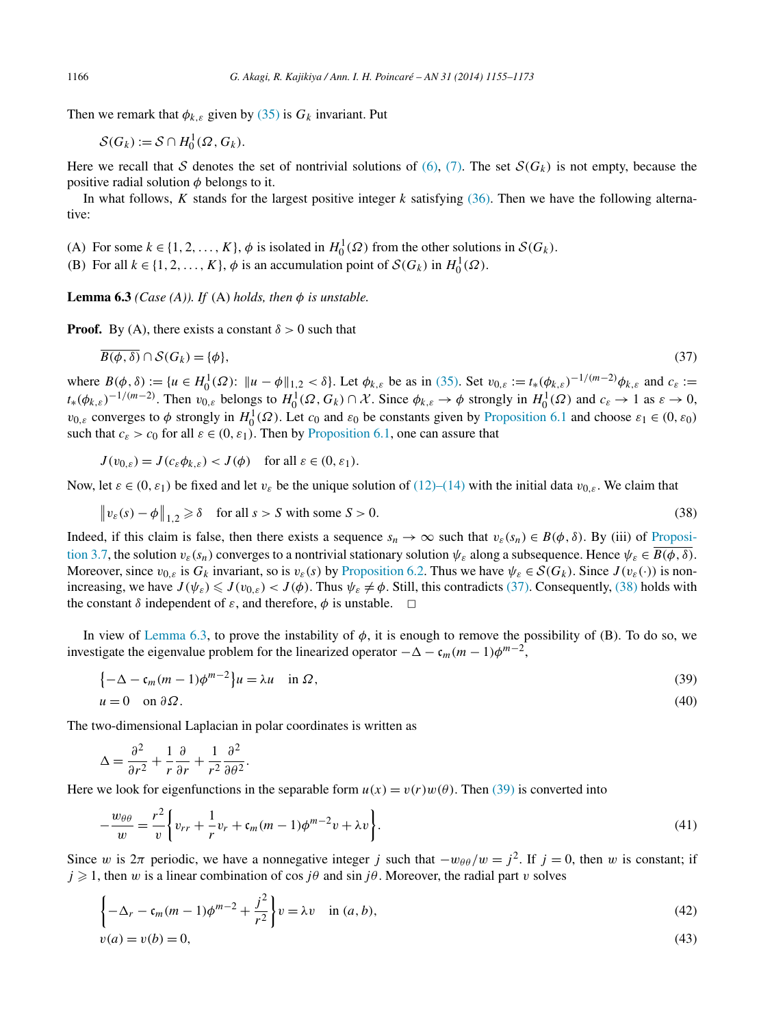Then we remark that  $\phi_{k,\varepsilon}$  given by [\(35\)](#page-10-0) is  $G_k$  invariant. Put

$$
\mathcal{S}(G_k) := \mathcal{S} \cap H_0^1(\Omega, G_k).
$$

Here we recall that S denotes the set of nontrivial solutions of  $(6)$ ,  $(7)$ . The set  $S(G_k)$  is not empty, because the positive radial solution *φ* belongs to it.

In what follows, *K* stands for the largest positive integer *k* satisfying [\(36\).](#page-10-0) Then we have the following alternative:

(A) For some  $k \in \{1, 2, ..., K\}$ ,  $\phi$  is isolated in  $H_0^1(\Omega)$  from the other solutions in  $\mathcal{S}(G_k)$ .

(B) For all  $k \in \{1, 2, ..., K\}$ ,  $\phi$  is an accumulation point of  $S(G_k)$  in  $H_0^1(\Omega)$ .

**Lemma 6.3** *(Case (A)). If (A) holds, then*  $\phi$  *is unstable.* 

**Proof.** By (A), there exists a constant  $\delta > 0$  such that

$$
\overline{B(\phi,\delta)} \cap \mathcal{S}(G_k) = \{\phi\},\tag{37}
$$

where  $B(\phi, \delta) := \{u \in H_0^1(\Omega) : ||u - \phi||_{1,2} < \delta\}$ . Let  $\phi_{k,\varepsilon}$  be as in [\(35\).](#page-10-0) Set  $v_{0,\varepsilon} := t_*(\phi_{k,\varepsilon})^{-1/(m-2)} \phi_{k,\varepsilon}$  and  $c_{\varepsilon} :=$  $t_*(\phi_{k,\varepsilon})^{-1/(m-2)}$ . Then  $v_{0,\varepsilon}$  belongs to  $H_0^1(\Omega, G_k) \cap \mathcal{X}$ . Since  $\phi_{k,\varepsilon} \to \phi$  strongly in  $H_0^1(\Omega)$  and  $c_{\varepsilon} \to 1$  as  $\varepsilon \to 0$ , *v*<sub>0</sub>, $\varepsilon$  converges to  $\phi$  strongly in  $H_0^1(\Omega)$ . Let  $c_0$  and  $\varepsilon_0$  be constants given by [Proposition 6.1](#page-10-0) and choose  $\varepsilon_1 \in (0, \varepsilon_0)$ such that  $c_{\varepsilon} > c_0$  for all  $\varepsilon \in (0, \varepsilon_1)$ . Then by [Proposition 6.1,](#page-10-0) one can assure that

 $J(v_{0,\varepsilon}) = J(c_{\varepsilon} \phi_{k,\varepsilon}) < J(\phi)$  for all  $\varepsilon \in (0,\varepsilon_1)$ .

Now, let  $\varepsilon \in (0, \varepsilon_1)$  be fixed and let  $v_{\varepsilon}$  be the unique solution of [\(12\)–\(14\)](#page-3-0) with the initial data  $v_{0,\varepsilon}$ . We claim that

$$
\|v_{\varepsilon}(s) - \phi\|_{1,2} \ge \delta \quad \text{for all } s > S \text{ with some } S > 0. \tag{38}
$$

Indeed, if this claim is false, then there exists a sequence  $s_n \to \infty$  such that  $v_{\varepsilon}(s_n) \in B(\phi, \delta)$ . By (iii) of [Proposi](#page-5-0)[tion 3.7,](#page-5-0) the solution  $v_{\varepsilon}(s_n)$  converges to a nontrivial stationary solution  $\psi_{\varepsilon}$  along a subsequence. Hence  $\psi_{\varepsilon} \in \overline{B(\phi, \delta)}$ . Moreover, since  $v_{0,\varepsilon}$  is  $G_k$  invariant, so is  $v_{\varepsilon}(s)$  by [Proposition 6.2.](#page-10-0) Thus we have  $\psi_{\varepsilon} \in \mathcal{S}(G_k)$ . Since  $J(v_{\varepsilon}(·))$  is nonincreasing, we have  $J(\psi_{\varepsilon}) \leq J(\psi_{0,\varepsilon}) < J(\phi)$ . Thus  $\psi_{\varepsilon} \neq \phi$ . Still, this contradicts (37). Consequently, (38) holds with the constant  $\delta$  independent of  $\varepsilon$ , and therefore,  $\phi$  is unstable.

In view of Lemma 6.3, to prove the instability of  $\phi$ , it is enough to remove the possibility of (B). To do so, we investigate the eigenvalue problem for the linearized operator  $-\Delta - \mathfrak{c}_m(m-1)\phi^{m-2}$ ,

$$
\begin{aligned} \{-\Delta - \mathfrak{c}_m(m-1)\phi^{m-2}\}u &= \lambda u \quad \text{in } \Omega, \\ u &= 0 \quad \text{on } \partial\Omega. \end{aligned} \tag{39}
$$

The two-dimensional Laplacian in polar coordinates is written as

$$
\Delta = \frac{\partial^2}{\partial r^2} + \frac{1}{r} \frac{\partial}{\partial r} + \frac{1}{r^2} \frac{\partial^2}{\partial \theta^2}.
$$

Here we look for eigenfunctions in the separable form  $u(x) = v(r)w(\theta)$ . Then (39) is converted into

$$
-\frac{w_{\theta\theta}}{w} = \frac{r^2}{v} \left\{ v_{rr} + \frac{1}{r} v_r + \mathfrak{c}_m (m-1) \phi^{m-2} v + \lambda v \right\}.
$$
\n(41)

Since *w* is  $2\pi$  periodic, we have a nonnegative integer *j* such that  $-w_{\theta\theta}/w = j^2$ . If  $j = 0$ , then *w* is constant; if  $j \geq 1$ , then *w* is a linear combination of cos  $j\theta$  and sin  $j\theta$ . Moreover, the radial part *v* solves

$$
\left\{-\Delta_r - \mathfrak{c}_m(m-1)\phi^{m-2} + \frac{j^2}{r^2}\right\} v = \lambda v \quad \text{in } (a, b),
$$
\n
$$
v(a) = v(b) = 0,
$$
\n(43)

<span id="page-11-0"></span>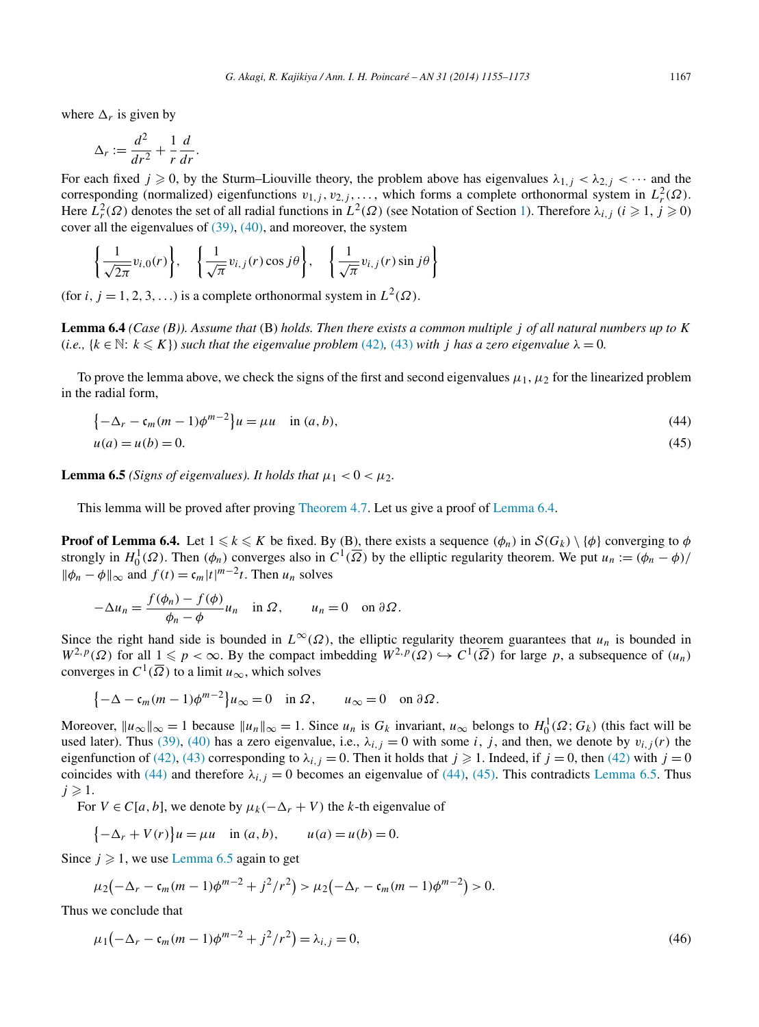<span id="page-12-0"></span>where  $\Delta_r$  is given by

$$
\Delta_r := \frac{d^2}{dr^2} + \frac{1}{r}\frac{d}{dr}.
$$

For each fixed  $j \ge 0$ , by the Sturm–Liouville theory, the problem above has eigenvalues  $\lambda_{1,j} < \lambda_{2,j} < \cdots$  and the corresponding (normalized) eigenfunctions  $v_{1,j}$ ,  $v_{2,j}$ , ..., which forms a complete orthonormal system in  $L^2_r(\Omega)$ . Here  $L_r^2(\Omega)$  denotes the set of all radial functions in  $L^2(\Omega)$  (see Notation of Section [1\)](#page-0-0). Therefore  $\lambda_{i,j}$  ( $i \geq 1, j \geq 0$ ) cover all the eigenvalues of [\(39\),](#page-11-0) [\(40\),](#page-11-0) and moreover, the system

$$
\left\{\frac{1}{\sqrt{2\pi}}v_{i,0}(r)\right\}, \quad \left\{\frac{1}{\sqrt{\pi}}v_{i,j}(r)\cos j\theta\right\}, \quad \left\{\frac{1}{\sqrt{\pi}}v_{i,j}(r)\sin j\theta\right\}
$$

(for *i*, *j* = 1, 2, 3, ...) is a complete orthonormal system in  $L^2(\Omega)$ .

**Lemma 6.4** *(Case (B)). Assume that* (B) *holds. Then there exists a common multiple j of all natural numbers up to K* (*i.e.*,  $\{k \in \mathbb{N} : k \leqslant K\}$ ) such that the eigenvalue problem [\(42\)](#page-11-0), [\(43\)](#page-11-0) with *j* has a zero eigenvalue  $\lambda = 0$ .

To prove the lemma above, we check the signs of the first and second eigenvalues  $\mu_1$ ,  $\mu_2$  for the linearized problem in the radial form,

$$
\left\{-\Delta_r - \mathfrak{c}_m(m-1)\phi^{m-2}\right\}\mathfrak{u} = \mu\mathfrak{u} \quad \text{in } (a,b),\tag{44}
$$

$$
u(a) = u(b) = 0.\tag{45}
$$

**Lemma 6.5** *(Signs of eigenvalues). It holds that*  $\mu_1 < 0 < \mu_2$ .

This lemma will be proved after proving [Theorem](#page-6-0) 4.7. Let us give a proof of Lemma 6.4.

**Proof of Lemma 6.4.** Let  $1 \le k \le K$  be fixed. By (B), there exists a sequence  $(\phi_n)$  in  $S(G_k) \setminus \{\phi\}$  converging to  $\phi$ strongly in  $H_0^1(\Omega)$ . Then  $(\phi_n)$  converges also in  $C^1(\overline{\Omega})$  by the elliptic regularity theorem. We put  $u_n := (\phi_n - \phi)$ /  $\|\phi_n - \phi\|_{\infty}$  and  $f(t) = \frac{c_m}{t^m}$  *t*. Then  $u_n$  solves

$$
-\Delta u_n = \frac{f(\phi_n) - f(\phi)}{\phi_n - \phi} u_n \quad \text{in } \Omega, \qquad u_n = 0 \quad \text{on } \partial \Omega.
$$

Since the right hand side is bounded in  $L^{\infty}(\Omega)$ , the elliptic regularity theorem guarantees that  $u_n$  is bounded in  $W^{2,p}(\Omega)$  for all  $1 \leq p < \infty$ . By the compact imbedding  $W^{2,p}(\Omega) \hookrightarrow C^1(\overline{\Omega})$  for large *p*, a subsequence of  $(u_n)$ converges in  $C^1(\overline{\Omega})$  to a limit  $u_{\infty}$ , which solves

$$
\{-\Delta - \mathfrak{c}_m(m-1)\phi^{m-2}\}u_{\infty} = 0 \quad \text{in } \Omega, \qquad u_{\infty} = 0 \quad \text{on } \partial\Omega.
$$

Moreover,  $||u_\infty||_\infty = 1$  because  $||u_n||_\infty = 1$ . Since  $u_n$  is  $G_k$  invariant,  $u_\infty$  belongs to  $H_0^1(\Omega; G_k)$  (this fact will be used later). Thus [\(39\),](#page-11-0) [\(40\)](#page-11-0) has a zero eigenvalue, i.e.,  $\lambda_{i,j} = 0$  with some *i*, *j*, and then, we denote by  $v_{i,j}(r)$  the eigenfunction of [\(42\),](#page-11-0) [\(43\)](#page-11-0) corresponding to  $\lambda_{i,j} = 0$ . Then it holds that  $j \ge 1$ . Indeed, if  $j = 0$ , then [\(42\)](#page-11-0) with  $j = 0$ coincides with (44) and therefore  $\lambda_{i,j} = 0$  becomes an eigenvalue of (44), (45). This contradicts Lemma 6.5. Thus  $j \geqslant 1$ .

For  $V \in C[a, b]$ , we denote by  $\mu_k(-\Delta_r + V)$  the *k*-th eigenvalue of

$$
\{-\Delta_r + V(r)\}u = \mu u
$$
 in  $(a, b)$ ,  $u(a) = u(b) = 0$ .

Since  $j \geq 1$ , we use Lemma 6.5 again to get

$$
\mu_2\big(-\Delta_r-\mathfrak{c}_m(m-1)\phi^{m-2}+j^2/r^2\big)>\mu_2\big(-\Delta_r-\mathfrak{c}_m(m-1)\phi^{m-2}\big)>0.
$$

Thus we conclude that

$$
\mu_1(-\Delta_r - \mathfrak{c}_m(m-1)\phi^{m-2} + j^2/r^2) = \lambda_{i,j} = 0,
$$
\n(46)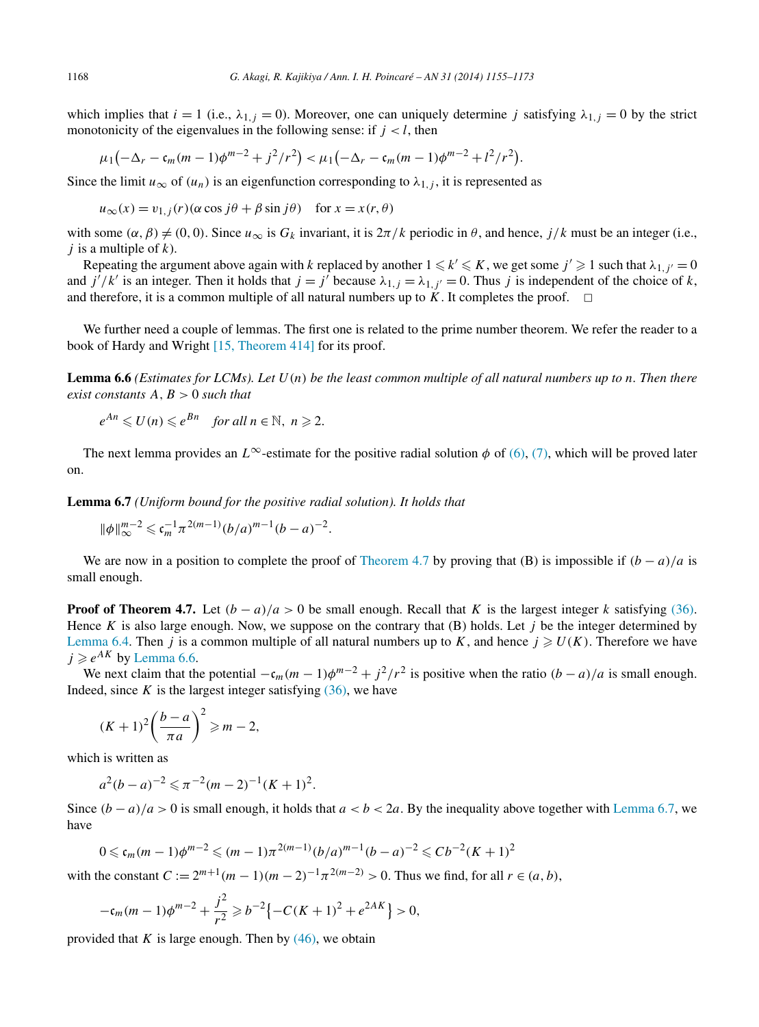<span id="page-13-0"></span>which implies that  $i = 1$  (i.e.,  $\lambda_{1,j} = 0$ ). Moreover, one can uniquely determine *j* satisfying  $\lambda_{1,j} = 0$  by the strict monotonicity of the eigenvalues in the following sense: if  $j < l$ , then

$$
\mu_1(-\Delta_r-\mathfrak{c}_m(m-1)\phi^{m-2}+j^2/r^2)<\mu_1(-\Delta_r-\mathfrak{c}_m(m-1)\phi^{m-2}+l^2/r^2).
$$

Since the limit  $u_{\infty}$  of  $(u_n)$  is an eigenfunction corresponding to  $\lambda_{1,j}$ , it is represented as

$$
u_{\infty}(x) = v_{1,j}(r)(\alpha \cos j\theta + \beta \sin j\theta) \text{ for } x = x(r, \theta)
$$

with some  $(\alpha, \beta) \neq (0, 0)$ . Since  $u_{\infty}$  is  $G_k$  invariant, it is  $2\pi/k$  periodic in  $\theta$ , and hence,  $j/k$  must be an integer (i.e., *j* is a multiple of *k*).

Repeating the argument above again with *k* replaced by another  $1 \leq k' \leq K$ , we get some  $j' \geq 1$  such that  $\lambda_{1,j'} = 0$ and  $j'/k'$  is an integer. Then it holds that  $j = j'$  because  $\lambda_{1,j} = \lambda_{1,j'} = 0$ . Thus *j* is independent of the choice of *k*, and therefore, it is a common multiple of all natural numbers up to  $\ddot{K}$ . It completes the proof.  $\Box$ 

We further need a couple of lemmas. The first one is related to the prime number theorem. We refer the reader to a book of Hardy and Wright [\[15, Theorem 414\]](#page-18-0) for its proof.

**Lemma 6.6** *(Estimates for LCMs). Let U(n) be the least common multiple of all natural numbers up to n. Then there exist constants A,B >* 0 *such that*

$$
e^{An} \leq U(n) \leq e^{Bn} \quad \text{for all } n \in \mathbb{N}, n \geq 2.
$$

The next lemma provides an  $L^\infty$ -estimate for the positive radial solution  $\phi$  of [\(6\),](#page-1-0) [\(7\),](#page-1-0) which will be proved later on.

**Lemma 6.7** *(Uniform bound for the positive radial solution). It holds that*

$$
\|\phi\|_{\infty}^{m-2} \leqslant \mathfrak{c}_m^{-1} \pi^{2(m-1)} (b/a)^{m-1} (b-a)^{-2}.
$$

We are now in a position to complete the proof of [Theorem 4.7](#page-6-0) by proving that (B) is impossible if  $(b - a)/a$  is small enough.

**Proof of Theorem 4.7.** Let  $(b - a)/a > 0$  be small enough. Recall that *K* is the largest integer *k* satisfying [\(36\).](#page-10-0) Hence *K* is also large enough. Now, we suppose on the contrary that  $(B)$  holds. Let *j* be the integer determined by [Lemma 6.4.](#page-12-0) Then *j* is a common multiple of all natural numbers up to *K*, and hence  $j \ge U(K)$ . Therefore we have  $j \geq e^{AK}$  by Lemma 6.6.

We next claim that the potential  $-c_m(m-1)\phi^{m-2} + j^2/r^2$  is positive when the ratio  $(b-a)/a$  is small enough. Indeed, since  $K$  is the largest integer satisfying  $(36)$ , we have

$$
(K+1)^2\left(\frac{b-a}{\pi a}\right)^2 \ge m-2,
$$

which is written as

$$
a^2(b-a)^{-2} \leq \pi^{-2}(m-2)^{-1}(K+1)^2.
$$

Since  $(b - a)/a > 0$  is small enough, it holds that  $a < b < 2a$ . By the inequality above together with Lemma 6.7, we have

$$
0 \leqslant c_m(m-1)\phi^{m-2} \leqslant (m-1)\pi^{2(m-1)}(b/a)^{m-1}(b-a)^{-2} \leqslant Cb^{-2}(K+1)^2
$$

with the constant  $C := 2^{m+1}(m-1)(m-2)^{-1}\pi^{2(m-2)} > 0$ . Thus we find, for all  $r \in (a, b)$ ,

$$
-\mathfrak{c}_m(m-1)\phi^{m-2} + \frac{j^2}{r^2} \geq b^{-2} \left\{-C(K+1)^2 + e^{2AK}\right\} > 0,
$$

provided that  $K$  is large enough. Then by  $(46)$ , we obtain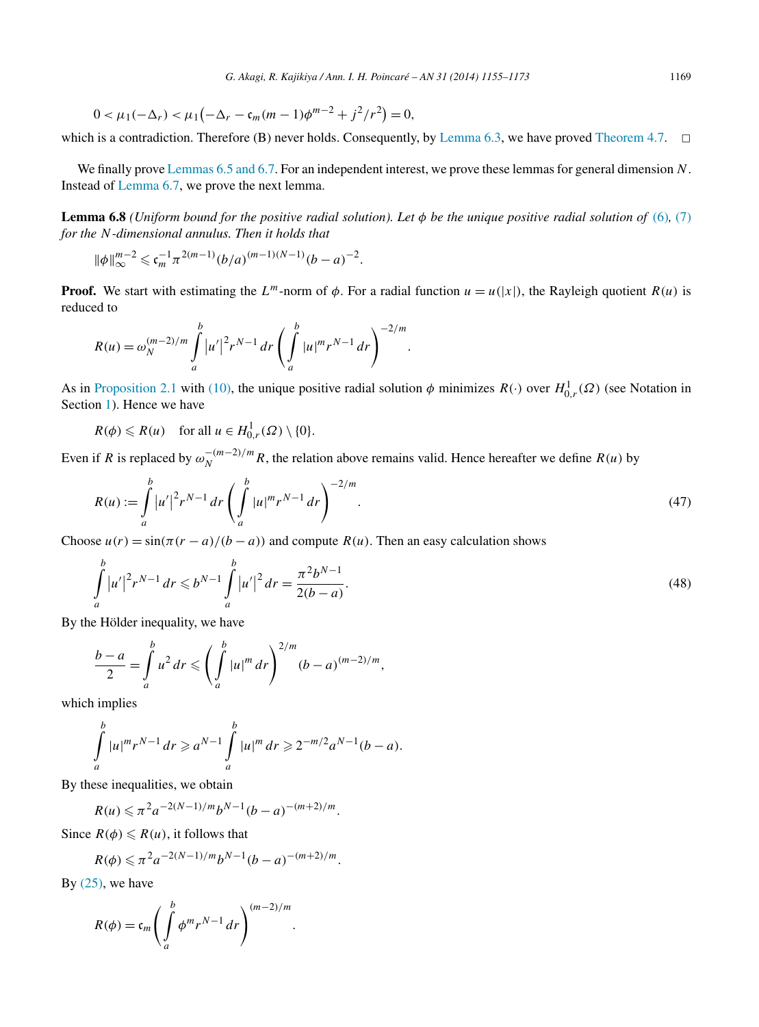<span id="page-14-0"></span>
$$
0 < \mu_1(-\Delta_r) < \mu_1(-\Delta_r - \mathfrak{c}_m(m-1)\phi^{m-2} + j^2/r^2) = 0,
$$

which is a contradiction. Therefore (B) never holds. Consequently, by [Lemma 6.3,](#page-11-0) we have proved [Theorem 4.7.](#page-6-0)  $\Box$ 

We finally prove Lemmas [6.5 and 6.7.](#page-12-0) For an independent interest, we prove these lemmas for general dimension *N*. Instead of [Lemma 6.7,](#page-13-0) we prove the next lemma.

**Lemma 6.8** *(Uniform bound for the positive radial solution). Let φ be the unique positive radial solution of* [\(6\)](#page-1-0)*,* [\(7\)](#page-1-0) *for the N-dimensional annulus. Then it holds that*

$$
\|\phi\|_{\infty}^{m-2} \leqslant \mathfrak{c}_m^{-1} \pi^{2(m-1)} (b/a)^{(m-1)(N-1)} (b-a)^{-2}.
$$

**Proof.** We start with estimating the  $L^m$ -norm of  $\phi$ . For a radial function  $u = u(|x|)$ , the Rayleigh quotient  $R(u)$  is reduced to

$$
R(u) = \omega_N^{(m-2)/m} \int_a^b |u'|^2 r^{N-1} dr \left( \int_a^b |u|^m r^{N-1} dr \right)^{-2/m}.
$$

As in [Proposition 2.1](#page-2-0) with [\(10\),](#page-2-0) the unique positive radial solution  $\phi$  minimizes  $R(\cdot)$  over  $H^1_{0,r}(\Omega)$  (see Notation in Section [1\)](#page-0-0). Hence we have

$$
R(\phi) \leq R(u) \quad \text{for all } u \in H^1_{0,r}(\Omega) \setminus \{0\}.
$$

Even if *R* is replaced by  $\omega_N^{-(m-2)/m}R$ , the relation above remains valid. Hence hereafter we define *R(u)* by

$$
R(u) := \int_{a}^{b} |u'|^{2} r^{N-1} dr \left( \int_{a}^{b} |u|^{m} r^{N-1} dr \right)^{-2/m}.
$$
 (47)

Choose  $u(r) = \sin(\pi (r - a)/(b - a))$  and compute  $R(u)$ . Then an easy calculation shows

$$
\int_{a}^{b} |u'|^{2} r^{N-1} dr \leqslant b^{N-1} \int_{a}^{b} |u'|^{2} dr = \frac{\pi^{2} b^{N-1}}{2(b-a)}.
$$
\n(48)

By the Hölder inequality, we have

$$
\frac{b-a}{2} = \int_{a}^{b} u^2 dr \leqslant \left(\int_{a}^{b} |u|^m dr\right)^{2/m} (b-a)^{(m-2)/m},
$$

which implies

$$
\int_{a}^{b} |u|^{m} r^{N-1} dr \geq a^{N-1} \int_{a}^{b} |u|^{m} dr \geq 2^{-m/2} a^{N-1} (b-a).
$$

*.*

By these inequalities, we obtain

$$
R(u) \leq \pi^2 a^{-2(N-1)/m} b^{N-1} (b-a)^{-(m+2)/m}.
$$

Since  $R(\phi) \le R(u)$ , it follows that

$$
R(\phi) \leq \pi^2 a^{-2(N-1)/m} b^{N-1} (b-a)^{-(m+2)/m}.
$$

By  $(25)$ , we have

$$
R(\phi) = \mathfrak{c}_m \left( \int_a^b \phi^m r^{N-1} dr \right)^{(m-2)/m}
$$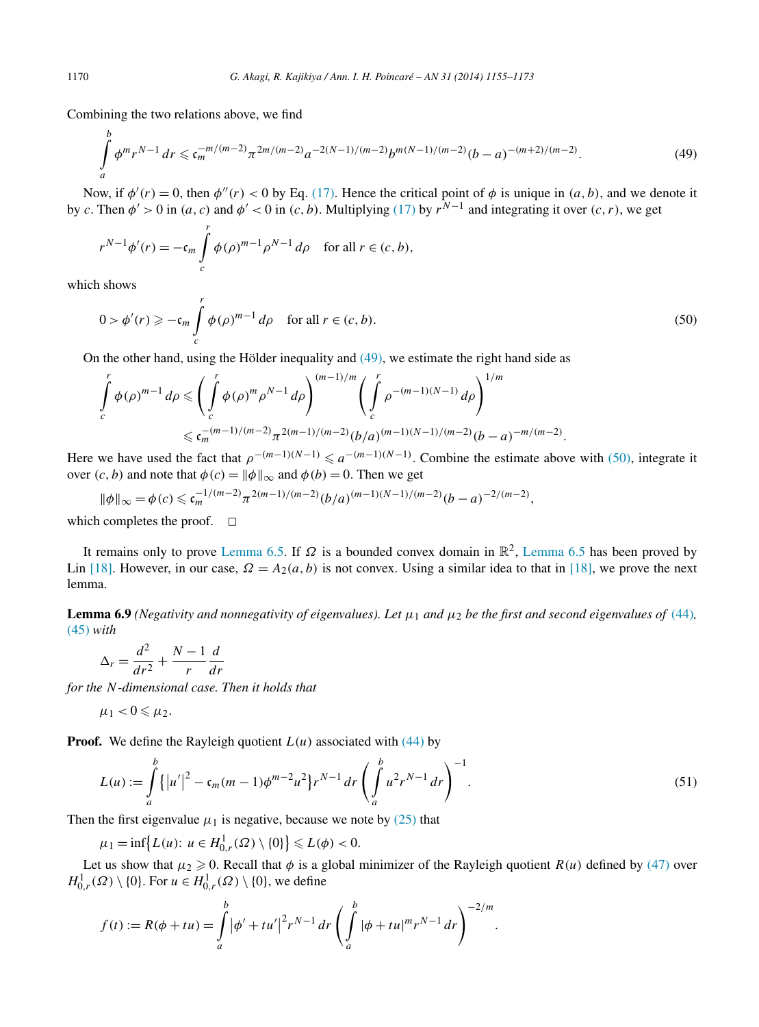<span id="page-15-0"></span>Combining the two relations above, we find

$$
\int_{a}^{b} \phi^{m} r^{N-1} \, dr \leqslant \mathfrak{c}_{m}^{-m/(m-2)} \pi^{2m/(m-2)} a^{-2(N-1)/(m-2)} b^{m(N-1)/(m-2)} (b-a)^{-(m+2)/(m-2)}.
$$
\n<sup>(49)</sup>

Now, if  $\phi'(r) = 0$ , then  $\phi''(r) < 0$  by Eq. [\(17\).](#page-5-0) Hence the critical point of  $\phi$  is unique in  $(a, b)$ , and we denote it by *c*. Then  $\phi' > 0$  in  $(a, c)$  and  $\phi' < 0$  in  $(c, b)$ . Multiplying [\(17\)](#page-5-0) by  $r^{N-1}$  and integrating it over  $(c, r)$ , we get

$$
r^{N-1}\phi'(r) = -\mathfrak{c}_m \int\limits_c^r \phi(\rho)^{m-1} \rho^{N-1} d\rho \quad \text{for all } r \in (c, b),
$$

which shows

$$
0 > \phi'(r) \geqslant -\mathfrak{c}_m \int\limits_c^r \phi(\rho)^{m-1} d\rho \quad \text{for all } r \in (c, b). \tag{50}
$$

On the other hand, using the Hölder inequality and (49), we estimate the right hand side as

$$
\int_{c}^{r} \phi(\rho)^{m-1} d\rho \leq \left( \int_{c}^{r} \phi(\rho)^{m} \rho^{N-1} d\rho \right)^{(m-1)/m} \left( \int_{c}^{r} \rho^{-(m-1)(N-1)} d\rho \right)^{1/m}
$$
  

$$
\leq c_{m}^{-(m-1)/(m-2)} \pi^{2(m-1)/(m-2)} (b/a)^{(m-1)(N-1)/(m-2)} (b-a)^{-m/(m-2)}.
$$

Here we have used the fact that  $\rho^{-(m-1)(N-1)} \le a^{-(m-1)(N-1)}$ . Combine the estimate above with (50), integrate it over  $(c, b)$  and note that  $\phi(c) = ||\phi||_{\infty}$  and  $\phi(b) = 0$ . Then we get

$$
\|\phi\|_{\infty} = \phi(c) \leq c_m^{-1/(m-2)} \pi^{2(m-1)/(m-2)} (b/a)^{(m-1)(N-1)/(m-2)} (b-a)^{-2/(m-2)},
$$

which completes the proof.  $\Box$ 

It remains only to prove [Lemma](#page-12-0) 6.5. If  $\Omega$  is a bounded convex domain in  $\mathbb{R}^2$ , [Lemma 6.5](#page-12-0) has been proved by Lin [\[18\].](#page-18-0) However, in our case,  $\Omega = A_2(a, b)$  is not convex. Using a similar idea to that in [\[18\],](#page-18-0) we prove the next lemma.

**Lemma 6.9** *(Negativity and nonnegativity of eigenvalues). Let*  $\mu_1$  *and*  $\mu_2$  *be the first and second eigenvalues of* [\(44\)](#page-12-0)*,* [\(45\)](#page-12-0) *with*

$$
\Delta_r = \frac{d^2}{dr^2} + \frac{N-1}{r} \frac{d}{dr}
$$

*for the N-dimensional case. Then it holds that*

$$
\mu_1<0\leqslant \mu_2.
$$

**Proof.** We define the Rayleigh quotient  $L(u)$  associated with  $(44)$  by

$$
L(u) := \int_{a}^{b} \{ |u'|^{2} - \mathfrak{c}_{m}(m-1)\phi^{m-2}u^{2} \} r^{N-1} dr \left( \int_{a}^{b} u^{2} r^{N-1} dr \right)^{-1}.
$$
 (51)

Then the first eigenvalue  $\mu_1$  is negative, because we note by [\(25\)](#page-8-0) that

 $\mu_1 = \inf \{ L(u) : u \in H^1_{0,r}(\Omega) \setminus \{0\} \} \le L(\phi) < 0.$ 

Let us show that  $\mu_2 \ge 0$ . Recall that  $\phi$  is a global minimizer of the Rayleigh quotient  $R(u)$  defined by [\(47\)](#page-14-0) over  $H^1_{0,r}(\Omega) \setminus \{0\}$ . For  $u \in H^1_{0,r}(\Omega) \setminus \{0\}$ , we define

$$
f(t) := R(\phi + tu) = \int_{a}^{b} |\phi' + tu'|^{2} r^{N-1} dr \left( \int_{a}^{b} |\phi + tu|^{m} r^{N-1} dr \right)^{-2/m}.
$$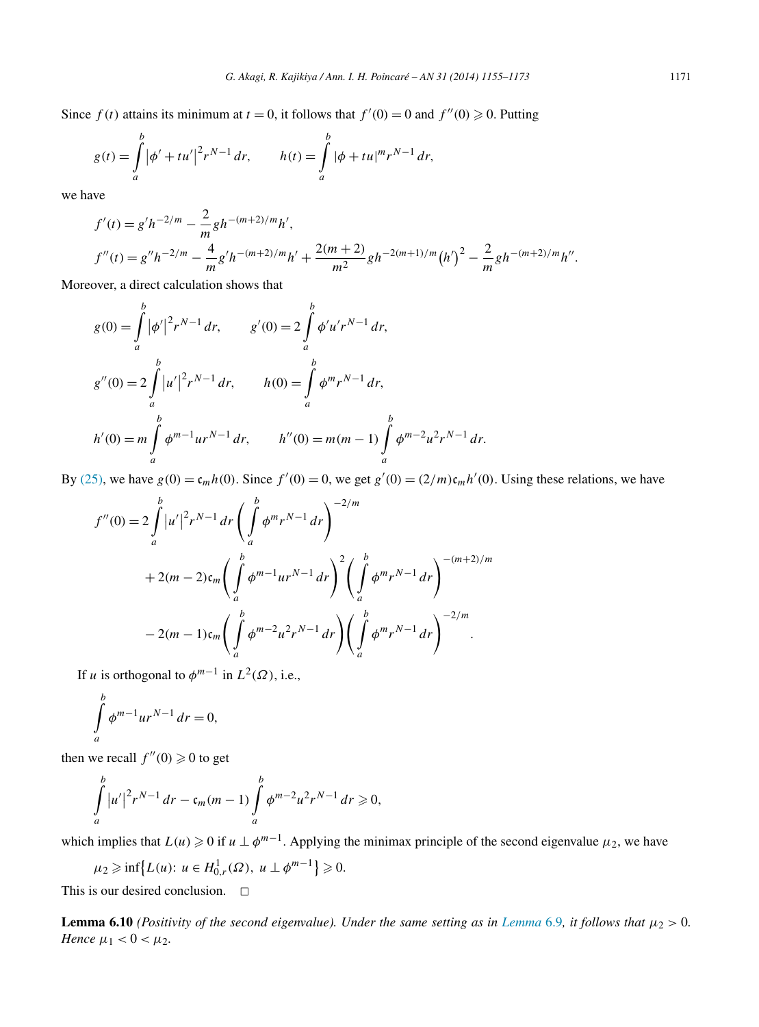Since  $f(t)$  attains its minimum at  $t = 0$ , it follows that  $f'(0) = 0$  and  $f''(0) \ge 0$ . Putting

$$
g(t) = \int_{a}^{b} |\phi' + tu'|^{2} r^{N-1} dr, \qquad h(t) = \int_{a}^{b} |\phi + tu|^{m} r^{N-1} dr,
$$

we have

$$
f'(t) = g'h^{-2/m} - \frac{2}{m}gh^{-(m+2)/m}h',
$$
  

$$
f''(t) = g''h^{-2/m} - \frac{4}{m}g'h^{-(m+2)/m}h' + \frac{2(m+2)}{m^2}gh^{-2(m+1)/m}(h')^2 - \frac{2}{m}gh^{-(m+2)/m}h''.
$$

Moreover, a direct calculation shows that

$$
g(0) = \int_{a}^{b} |\phi'|^{2} r^{N-1} dr, \qquad g'(0) = 2 \int_{a}^{b} \phi' u' r^{N-1} dr,
$$
  
\n
$$
g''(0) = 2 \int_{a}^{b} |u'|^{2} r^{N-1} dr, \qquad h(0) = \int_{a}^{b} \phi^{m} r^{N-1} dr,
$$
  
\n
$$
h'(0) = m \int_{a}^{b} \phi^{m-1} u r^{N-1} dr, \qquad h''(0) = m(m-1) \int_{a}^{b} \phi^{m-2} u^{2} r^{N-1} dr.
$$

By [\(25\),](#page-8-0) we have  $g(0) = \frac{\mathfrak{c}_m h(0)}{\mathfrak{c}_m h(0)}$ . Since  $f'(0) = 0$ , we get  $g'(0) = \frac{2}{m}\mathfrak{c}_m h'(0)$ . Using these relations, we have

$$
f''(0) = 2 \int_{a}^{b} |u'|^{2} r^{N-1} dr \left( \int_{a}^{b} \phi^{m} r^{N-1} dr \right)^{-2/m}
$$
  
+ 2(m - 2)  $\mathfrak{c}_{m} \left( \int_{a}^{b} \phi^{m-1} u r^{N-1} dr \right)^{2} \left( \int_{a}^{b} \phi^{m} r^{N-1} dr \right)^{-(m+2)/m}$   
- 2(m - 1)  $\mathfrak{c}_{m} \left( \int_{a}^{b} \phi^{m-2} u^{2} r^{N-1} dr \right) \left( \int_{a}^{b} \phi^{m} r^{N-1} dr \right)^{-2/m}.$ 

If *u* is orthogonal to  $\phi^{m-1}$  in  $L^2(\Omega)$ , i.e.,

$$
\int_{a}^{b} \phi^{m-1} u r^{N-1} dr = 0,
$$

then we recall  $f''(0) \ge 0$  to get

$$
\int_{a}^{b} |u'|^{2} r^{N-1} dr - c_{m}(m-1) \int_{a}^{b} \phi^{m-2} u^{2} r^{N-1} dr \geq 0,
$$

which implies that  $L(u) \geq 0$  if  $u \perp \phi^{m-1}$ . Applying the minimax principle of the second eigenvalue  $\mu_2$ , we have

$$
\mu_2 \geq \inf \{ L(u): u \in H^1_{0,r}(\Omega), u \perp \phi^{m-1} \} \geq 0.
$$

This is our desired conclusion.  $\Box$ 

**[Lemma](#page-15-0) 6.10** *(Positivity of the second eigenvalue). Under the same setting as in Lemma* 6.9*, it follows that*  $\mu_2 > 0$ *. Hence*  $\mu_1 < 0 < \mu_2$ *.*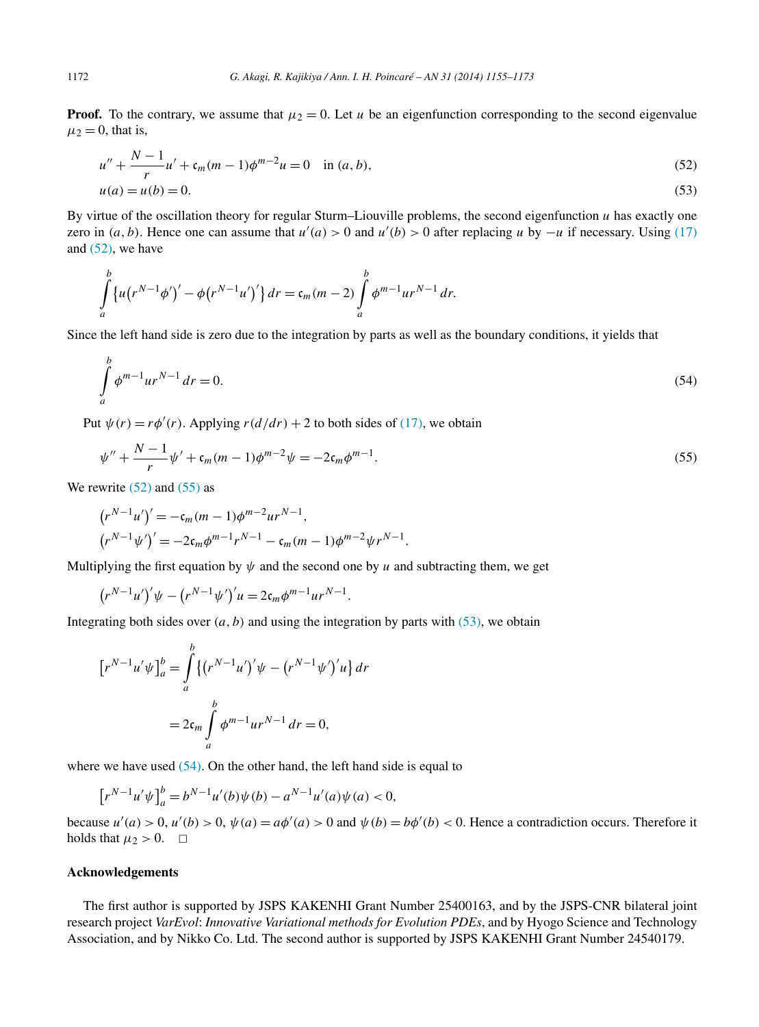**Proof.** To the contrary, we assume that  $\mu_2 = 0$ . Let *u* be an eigenfunction corresponding to the second eigenvalue  $\mu_2 = 0$ , that is,

$$
u'' + \frac{N-1}{r}u' + \mathfrak{c}_m(m-1)\phi^{m-2}u = 0 \quad \text{in } (a, b),
$$
  
\n
$$
u(a) = u(b) = 0.
$$
\n(53)

By virtue of the oscillation theory for regular Sturm–Liouville problems, the second eigenfunction *u* has exactly one zero in  $(a, b)$ . Hence one can assume that  $u'(a) > 0$  and  $u'(b) > 0$  after replacing *u* by  $-u$  if necessary. Using [\(17\)](#page-5-0) and (52), we have

$$
\int_{a}^{b} \{u(r^{N-1}\phi')' - \phi(r^{N-1}u')'\} dr = c_m(m-2) \int_{a}^{b} \phi^{m-1}ur^{N-1} dr.
$$

Since the left hand side is zero due to the integration by parts as well as the boundary conditions, it yields that

$$
\int_{a}^{b} \phi^{m-1} u r^{N-1} \, dr = 0. \tag{54}
$$

Put  $\psi(r) = r\phi'(r)$ . Applying  $r(d/dr) + 2$  to both sides of [\(17\),](#page-5-0) we obtain

$$
\psi'' + \frac{N-1}{r}\psi' + \mathfrak{c}_m(m-1)\phi^{m-2}\psi = -2\mathfrak{c}_m\phi^{m-1}.
$$
\n(55)

We rewrite  $(52)$  and  $(55)$  as

$$
\begin{aligned} \left(r^{N-1}u'\right)' &= -\mathfrak{c}_m(m-1)\phi^{m-2}ur^{N-1},\\ \left(r^{N-1}\psi'\right)' &= -2\mathfrak{c}_m\phi^{m-1}r^{N-1} - \mathfrak{c}_m(m-1)\phi^{m-2}\psi r^{N-1}.\end{aligned}
$$

Multiplying the first equation by  $\psi$  and the second one by *u* and subtracting them, we get

$$
(r^{N-1}u')'\psi - (r^{N-1}\psi')'u = 2c_m\phi^{m-1}ur^{N-1}.
$$

Integrating both sides over  $(a, b)$  and using the integration by parts with  $(53)$ , we obtain

$$
\left[r^{N-1}u'\psi\right]_a^b = \int_a^b \left\{\left(r^{N-1}u'\right)'\psi - \left(r^{N-1}\psi'\right)'\nu\right\} dr
$$
  
=  $2c_m \int_a^b \phi^{m-1}ur^{N-1} dr = 0,$ 

where we have used  $(54)$ . On the other hand, the left hand side is equal to

$$
\left[r^{N-1}u'\psi\right]_a^b = b^{N-1}u'(b)\psi(b) - a^{N-1}u'(a)\psi(a) < 0,
$$

because  $u'(a) > 0$ ,  $u'(b) > 0$ ,  $\psi(a) = a\phi'(a) > 0$  and  $\psi(b) = b\phi'(b) < 0$ . Hence a contradiction occurs. Therefore it holds that  $\mu_2 > 0$ .  $\Box$ 

#### **Acknowledgements**

The first author is supported by JSPS KAKENHI Grant Number 25400163, and by the JSPS-CNR bilateral joint research project *VarEvol*: *Innovative Variational methods for Evolution PDEs*, and by Hyogo Science and Technology Association, and by Nikko Co. Ltd. The second author is supported by JSPS KAKENHI Grant Number 24540179.